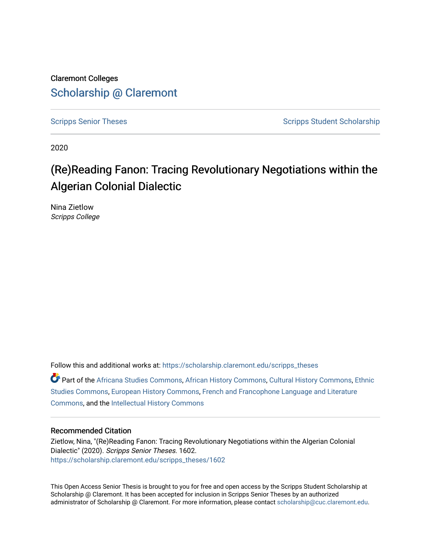Claremont Colleges [Scholarship @ Claremont](https://scholarship.claremont.edu/) 

[Scripps Senior Theses](https://scholarship.claremont.edu/scripps_theses) Scripps Student Scholarship

2020

# (Re)Reading Fanon: Tracing Revolutionary Negotiations within the Algerian Colonial Dialectic

Nina Zietlow Scripps College

Follow this and additional works at: [https://scholarship.claremont.edu/scripps\\_theses](https://scholarship.claremont.edu/scripps_theses?utm_source=scholarship.claremont.edu%2Fscripps_theses%2F1602&utm_medium=PDF&utm_campaign=PDFCoverPages)

Part of the [Africana Studies Commons,](http://network.bepress.com/hgg/discipline/1418?utm_source=scholarship.claremont.edu%2Fscripps_theses%2F1602&utm_medium=PDF&utm_campaign=PDFCoverPages) [African History Commons](http://network.bepress.com/hgg/discipline/490?utm_source=scholarship.claremont.edu%2Fscripps_theses%2F1602&utm_medium=PDF&utm_campaign=PDFCoverPages), [Cultural History Commons,](http://network.bepress.com/hgg/discipline/496?utm_source=scholarship.claremont.edu%2Fscripps_theses%2F1602&utm_medium=PDF&utm_campaign=PDFCoverPages) [Ethnic](http://network.bepress.com/hgg/discipline/570?utm_source=scholarship.claremont.edu%2Fscripps_theses%2F1602&utm_medium=PDF&utm_campaign=PDFCoverPages)  [Studies Commons,](http://network.bepress.com/hgg/discipline/570?utm_source=scholarship.claremont.edu%2Fscripps_theses%2F1602&utm_medium=PDF&utm_campaign=PDFCoverPages) [European History Commons](http://network.bepress.com/hgg/discipline/492?utm_source=scholarship.claremont.edu%2Fscripps_theses%2F1602&utm_medium=PDF&utm_campaign=PDFCoverPages), [French and Francophone Language and Literature](http://network.bepress.com/hgg/discipline/463?utm_source=scholarship.claremont.edu%2Fscripps_theses%2F1602&utm_medium=PDF&utm_campaign=PDFCoverPages)  [Commons](http://network.bepress.com/hgg/discipline/463?utm_source=scholarship.claremont.edu%2Fscripps_theses%2F1602&utm_medium=PDF&utm_campaign=PDFCoverPages), and the [Intellectual History Commons](http://network.bepress.com/hgg/discipline/501?utm_source=scholarship.claremont.edu%2Fscripps_theses%2F1602&utm_medium=PDF&utm_campaign=PDFCoverPages) 

#### Recommended Citation

Zietlow, Nina, "(Re)Reading Fanon: Tracing Revolutionary Negotiations within the Algerian Colonial Dialectic" (2020). Scripps Senior Theses. 1602. [https://scholarship.claremont.edu/scripps\\_theses/1602](https://scholarship.claremont.edu/scripps_theses/1602?utm_source=scholarship.claremont.edu%2Fscripps_theses%2F1602&utm_medium=PDF&utm_campaign=PDFCoverPages) 

This Open Access Senior Thesis is brought to you for free and open access by the Scripps Student Scholarship at Scholarship @ Claremont. It has been accepted for inclusion in Scripps Senior Theses by an authorized administrator of Scholarship @ Claremont. For more information, please contact [scholarship@cuc.claremont.edu.](mailto:scholarship@cuc.claremont.edu)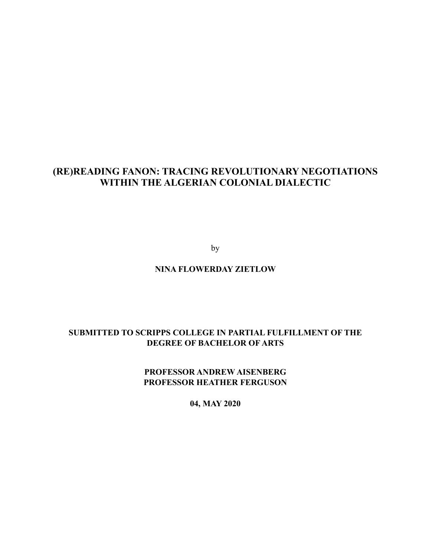# **(RE)READING FANON: TRACING REVOLUTIONARY NEGOTIATIONS WITHIN THE ALGERIAN COLONIAL DIALECTIC**

by

# **NINA FLOWERDAY ZIETLOW**

# **SUBMITTED TO SCRIPPS COLLEGE IN PARTIAL FULFILLMENT OF THE DEGREE OF BACHELOR OF ARTS**

**PROFESSOR ANDREW AISENBERG PROFESSOR HEATHER FERGUSON** 

**04, MAY 2020**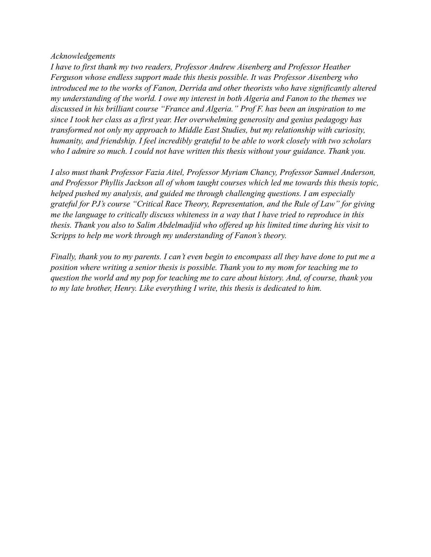### *Acknowledgements*

*I have to first thank my two readers, Professor Andrew Aisenberg and Professor Heather Ferguson whose endless support made this thesis possible. It was Professor Aisenberg who introduced me to the works of Fanon, Derrida and other theorists who have significantly altered my understanding of the world. I owe my interest in both Algeria and Fanon to the themes we discussed in his brilliant course "France and Algeria." Prof F. has been an inspiration to me since I took her class as a first year. Her overwhelming generosity and genius pedagogy has transformed not only my approach to Middle East Studies, but my relationship with curiosity, humanity, and friendship. I feel incredibly grateful to be able to work closely with two scholars who I admire so much. I could not have written this thesis without your guidance. Thank you.* 

*I also must thank Professor Fazia Aitel, Professor Myriam Chancy, Professor Samuel Anderson, and Professor Phyllis Jackson all of whom taught courses which led me towards this thesis topic, helped pushed my analysis, and guided me through challenging questions. I am especially grateful for PJ's course "Critical Race Theory, Representation, and the Rule of Law" for giving me the language to critically discuss whiteness in a way that I have tried to reproduce in this thesis. Thank you also to Salim Abdelmadjid who offered up his limited time during his visit to Scripps to help me work through my understanding of Fanon's theory.* 

*Finally, thank you to my parents. I can't even begin to encompass all they have done to put me a position where writing a senior thesis is possible. Thank you to my mom for teaching me to question the world and my pop for teaching me to care about history. And, of course, thank you to my late brother, Henry. Like everything I write, this thesis is dedicated to him.*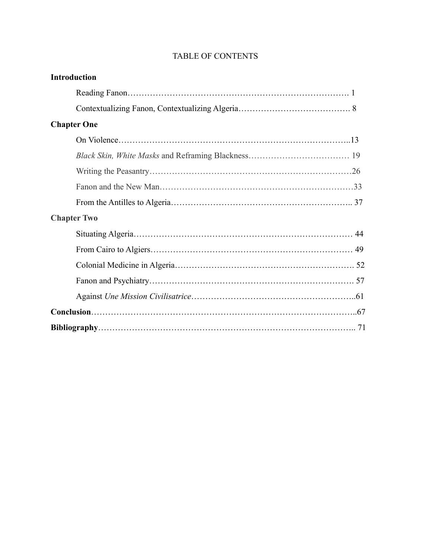| <b>Introduction</b> |
|---------------------|
|                     |
|                     |
| <b>Chapter One</b>  |
|                     |
|                     |
|                     |
|                     |
|                     |
| <b>Chapter Two</b>  |
|                     |
|                     |
|                     |
|                     |
|                     |
|                     |
|                     |

# TABLE OF CONTENTS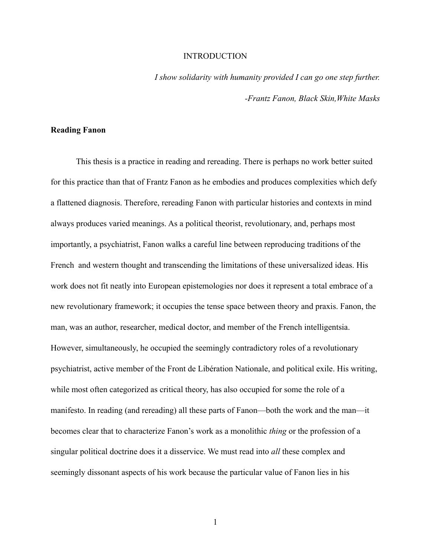#### **INTRODUCTION**

*I show solidarity with humanity provided I can go one step further. -Frantz Fanon, Black Skin,White Masks* 

#### **Reading Fanon**

 This thesis is a practice in reading and rereading. There is perhaps no work better suited for this practice than that of Frantz Fanon as he embodies and produces complexities which defy a flattened diagnosis. Therefore, rereading Fanon with particular histories and contexts in mind always produces varied meanings. As a political theorist, revolutionary, and, perhaps most importantly, a psychiatrist, Fanon walks a careful line between reproducing traditions of the French and western thought and transcending the limitations of these universalized ideas. His work does not fit neatly into European epistemologies nor does it represent a total embrace of a new revolutionary framework; it occupies the tense space between theory and praxis. Fanon, the man, was an author, researcher, medical doctor, and member of the French intelligentsia. However, simultaneously, he occupied the seemingly contradictory roles of a revolutionary psychiatrist, active member of the Front de Libération Nationale, and political exile. His writing, while most often categorized as critical theory, has also occupied for some the role of a manifesto. In reading (and rereading) all these parts of Fanon—both the work and the man—it becomes clear that to characterize Fanon's work as a monolithic *thing* or the profession of a singular political doctrine does it a disservice. We must read into *all* these complex and seemingly dissonant aspects of his work because the particular value of Fanon lies in his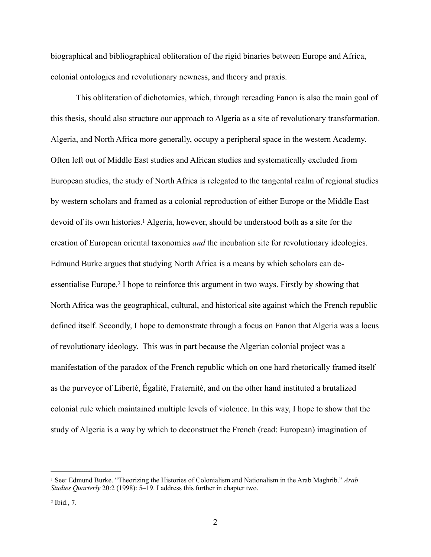biographical and bibliographical obliteration of the rigid binaries between Europe and Africa, colonial ontologies and revolutionary newness, and theory and praxis.

<span id="page-5-3"></span><span id="page-5-2"></span> This obliteration of dichotomies, which, through rereading Fanon is also the main goal of this thesis, should also structure our approach to Algeria as a site of revolutionary transformation. Algeria, and North Africa more generally, occupy a peripheral space in the western Academy. Often left out of Middle East studies and African studies and systematically excluded from European studies, the study of North Africa is relegated to the tangental realm of regional studies by western scholars and framed as a colonial reproduction of either Europe or the Middle East devoid of its own histories[.](#page-5-0)<sup>[1](#page-5-0)</sup> Algeria, however, should be understood both as a site for the creation of European oriental taxonomies *and* the incubation site for revolutionary ideologies. Edmund Burke argues that studying North Africa is a means by which scholars can de-essentialise Europe[.](#page-5-1)<sup>[2](#page-5-1)</sup> I hope to reinforce this argument in two ways. Firstly by showing that North Africa was the geographical, cultural, and historical site against which the French republic defined itself. Secondly, I hope to demonstrate through a focus on Fanon that Algeria was a locus of revolutionary ideology. This was in part because the Algerian colonial project was a manifestation of the paradox of the French republic which on one hard rhetorically framed itself as the purveyor of Liberté, Égalité, Fraternité, and on the other hand instituted a brutalized colonial rule which maintained multiple levels of violence. In this way, I hope to show that the study of Algeria is a way by which to deconstruct the French (read: European) imagination of

<span id="page-5-0"></span>See: Edmund Burke. "Theorizing the Histories of Colonialism and Nationalism in the Arab Maghrib." *Arab* [1](#page-5-2) *Studies Quarterly* 20:2 (1998): 5–19. I address this further in chapter two.

<span id="page-5-1"></span> $2$  Ibid., 7.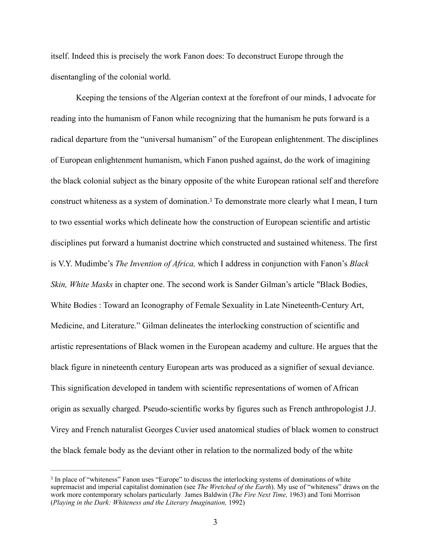itself. Indeed this is precisely the work Fanon does: To deconstruct Europe through the disentangling of the colonial world.

<span id="page-6-1"></span> Keeping the tensions of the Algerian context at the forefront of our minds, I advocate for reading into the humanism of Fanon while recognizing that the humanism he puts forward is a radical departure from the "universal humanism" of the European enlightenment. The disciplines of European enlightenment humanism, which Fanon pushed against, do the work of imagining the black colonial subject as the binary opposite of the white European rational self and therefore constructwhiteness as a system of domination.<sup>[3](#page-6-0)</sup> To demonstrate more clearly what I mean, I turn to two essential works which delineate how the construction of European scientific and artistic disciplines put forward a humanist doctrine which constructed and sustained whiteness. The first is V.Y. Mudimbe's *The Invention of Africa,* which I address in conjunction with Fanon's *Black Skin, White Masks* in chapter one. The second work is Sander Gilman's article "Black Bodies, White Bodies : Toward an Iconography of Female Sexuality in Late Nineteenth-Century Art, Medicine, and Literature." Gilman delineates the interlocking construction of scientific and artistic representations of Black women in the European academy and culture. He argues that the black figure in nineteenth century European arts was produced as a signifier of sexual deviance. This signification developed in tandem with scientific representations of women of African origin as sexually charged. Pseudo-scientific works by figures such as French anthropologist J.J. Virey and French naturalist Georges Cuvier used anatomical studies of black women to construct the black female body as the deviant other in relation to the normalized body of the white

<span id="page-6-0"></span><sup>&</sup>lt;sup>[3](#page-6-1)</sup> In place of "whiteness" Fanon uses "Europe" to discuss the interlocking systems of dominations of white supremacist and imperial capitalist domination (see *The Wretched of the Earth*). My use of "whiteness" draws on the work more contemporary scholars particularly James Baldwin (*The Fire Next Time,* 1963) and Toni Morrison (*Playing in the Dark: Whiteness and the Literary Imagination,* 1992)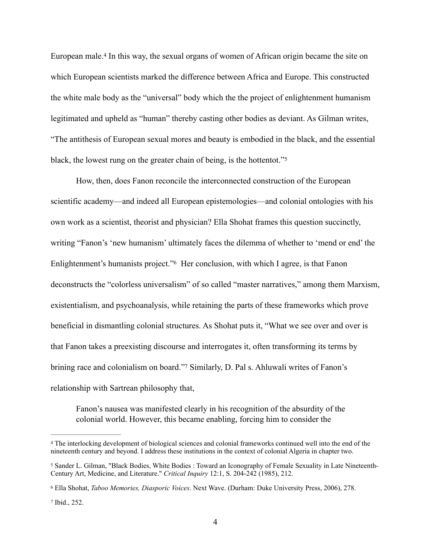<span id="page-7-4"></span>European male[.](#page-7-0)<sup>[4](#page-7-0)</sup> In this way, the sexual organs of women of African origin became the site on which European scientists marked the difference between Africa and Europe. This constructed the white male body as the "universal" body which the the project of enlightenment humanism legitimated and upheld as "human" thereby casting other bodies as deviant. As Gilman writes, "The antithesis of European sexual mores and beauty is embodied in the black, and the essential black, the lowest rung on the greater chain of being, is the hottentot.["](#page-7-1)

<span id="page-7-6"></span><span id="page-7-5"></span> How, then, does Fanon reconcile the interconnected construction of the European scientific academy—and indeed all European epistemologies—and colonial ontologies with his own work as a scientist, theorist and physician? Ella Shohat frames this question succinctly, writing "Fanon's 'new humanism' ultimately faces the dilemma of whether to 'mend or end' the Enlightenment'shumanists project."<sup>[6](#page-7-2)</sup> Her conclusion, with which I agree, is that Fanon deconstructs the "colorless universalism" of so called "master narratives," among them Marxism, existentialism, and psychoanalysis, while retaining the parts of these frameworks which prove beneficial in dismantling colonial structures. As Shohat puts it, "What we see over and over is that Fanon takes a preexisting discourse and interrogates it, often transforming its terms by briningrace and colonialism on board."[7](#page-7-3) Similarly, D. Pal s. Ahluwali writes of Fanon's relationship with Sartrean philosophy that,

<span id="page-7-7"></span>Fanon's nausea was manifested clearly in his recognition of the absurdity of the colonial world. However, this became enabling, forcing him to consider the

<span id="page-7-0"></span>The interlocking development of biological sciences and colonial frameworks continued well into the end of the [4](#page-7-4) nineteenth century and beyond. I address these institutions in the context of colonial Algeria in chapter two.

<span id="page-7-1"></span>Sander L. Gilman, "Black Bodies, White Bodies : Toward an Iconography of Female Sexuality in Late Nineteenth- [5](#page-7-5) Century Art, Medicine, and Literature." *Critical Inquiry* 12:1, S. 204-242 (1985), 212.

<span id="page-7-2"></span>Ella Shohat, *Taboo Memories, Diasporic Voices*. Next Wave. (Durham: Duke University Press, 2006), 278. [6](#page-7-6)

<span id="page-7-3"></span><sup>&</sup>lt;sup>[7](#page-7-7)</sup> Ibid., 252.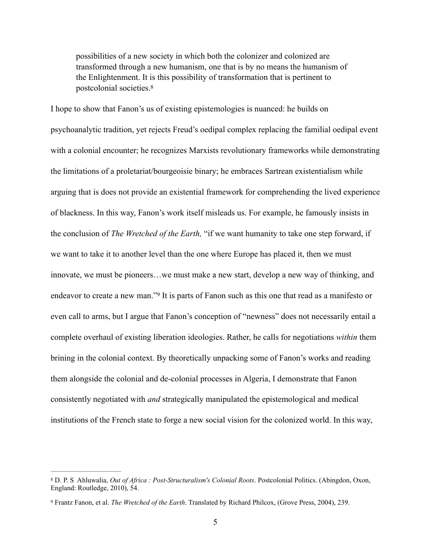<span id="page-8-2"></span>possibilities of a new society in which both the colonizer and colonized are transformed through a new humanism, one that is by no means the humanism of the Enlightenment. It is this possibility of transformation that is pertinent to postcolonial societies.[8](#page-8-0)

<span id="page-8-3"></span>I hope to show that Fanon's us of existing epistemologies is nuanced: he builds on psychoanalytic tradition, yet rejects Freud's oedipal complex replacing the familial oedipal event with a colonial encounter; he recognizes Marxists revolutionary frameworks while demonstrating the limitations of a proletariat/bourgeoisie binary; he embraces Sartrean existentialism while arguing that is does not provide an existential framework for comprehending the lived experience of blackness. In this way, Fanon's work itself misleads us. For example, he famously insists in the conclusion of *The Wretched of the Earth,* "if we want humanity to take one step forward, if we want to take it to another level than the one where Europe has placed it, then we must innovate, we must be pioneers…we must make a new start, develop a new way of thinking, and endeavor to create a new man.["](#page-8-1)<sup>[9](#page-8-1)</sup> It is parts of Fanon such as this one that read as a manifesto or even call to arms, but I argue that Fanon's conception of "newness" does not necessarily entail a complete overhaul of existing liberation ideologies. Rather, he calls for negotiations *within* them brining in the colonial context. By theoretically unpacking some of Fanon's works and reading them alongside the colonial and de-colonial processes in Algeria, I demonstrate that Fanon consistently negotiated with *and* strategically manipulated the epistemological and medical institutions of the French state to forge a new social vision for the colonized world. In this way,

<span id="page-8-0"></span>D. P. S Ahluwalia, *Out of Africa : Post-Structuralism's Colonial Roots*. Postcolonial Politics. (Abingdon, Oxon, [8](#page-8-2) England: Routledge, 2010), 54.

<span id="page-8-1"></span><sup>&</sup>lt;sup>[9](#page-8-3)</sup> Frantz Fanon, et al. *The Wretched of the Earth*. Translated by Richard Philcox, (Grove Press, 2004), 239.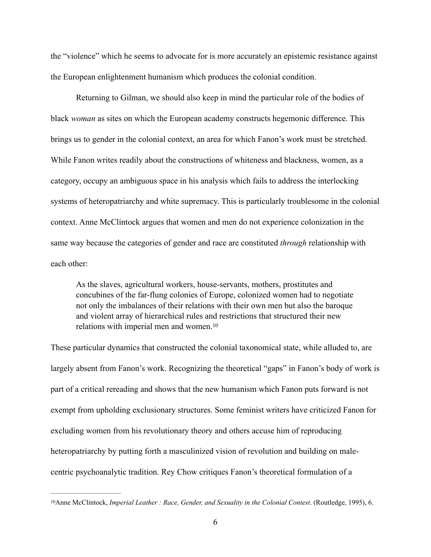the "violence" which he seems to advocate for is more accurately an epistemic resistance against the European enlightenment humanism which produces the colonial condition.

 Returning to Gilman, we should also keep in mind the particular role of the bodies of black *woman* as sites on which the European academy constructs hegemonic difference. This brings us to gender in the colonial context, an area for which Fanon's work must be stretched. While Fanon writes readily about the constructions of whiteness and blackness, women, as a category, occupy an ambiguous space in his analysis which fails to address the interlocking systems of heteropatriarchy and white supremacy. This is particularly troublesome in the colonial context. Anne McClintock argues that women and men do not experience colonization in the same way because the categories of gender and race are constituted *through* relationship with each other:

<span id="page-9-1"></span>As the slaves, agricultural workers, house-servants, mothers, prostitutes and concubines of the far-flung colonies of Europe, colonized women had to negotiate not only the imbalances of their relations with their own men but also the baroque and violent array of hierarchical rules and restrictions that structured their new relations with imperial men and women.[10](#page-9-0)

These particular dynamics that constructed the colonial taxonomical state, while alluded to, are largely absent from Fanon's work. Recognizing the theoretical "gaps" in Fanon's body of work is part of a critical rereading and shows that the new humanism which Fanon puts forward is not exempt from upholding exclusionary structures. Some feminist writers have criticized Fanon for excluding women from his revolutionary theory and others accuse him of reproducing heteropatriarchy by putting forth a masculinized vision of revolution and building on malecentric psychoanalytic tradition. Rey Chow critiques Fanon's theoretical formulation of a

<span id="page-9-0"></span><sup>&</sup>lt;sup>[10](#page-9-1)</sup>Anne McClintock, *Imperial Leather : Race, Gender, and Sexuality in the Colonial Contest*. (Routledge, 1995), 6.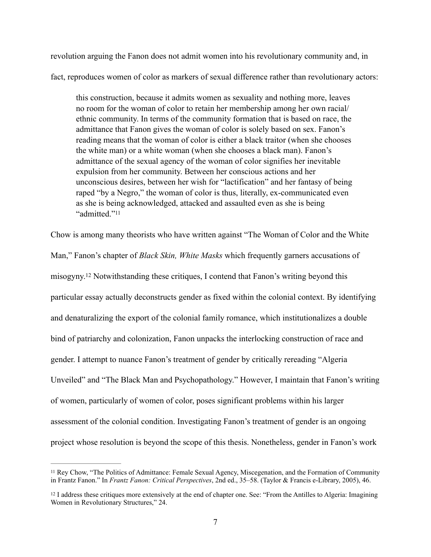revolution arguing the Fanon does not admit women into his revolutionary community and, in fact, reproduces women of color as markers of sexual difference rather than revolutionary actors:

this construction, because it admits women as sexuality and nothing more, leaves no room for the woman of color to retain her membership among her own racial/ ethnic community. In terms of the community formation that is based on race, the admittance that Fanon gives the woman of color is solely based on sex. Fanon's reading means that the woman of color is either a black traitor (when she chooses the white man) or a white woman (when she chooses a black man). Fanon's admittance of the sexual agency of the woman of color signifies her inevitable expulsion from her community. Between her conscious actions and her unconscious desires, between her wish for "lactification" and her fantasy of being raped "by a Negro," the woman of color is thus, literally, ex-communicated even as she is being acknowledged, attacked and assaulted even as she is being "admitted."[11](#page-10-0)

<span id="page-10-3"></span><span id="page-10-2"></span>Chow is among many theorists who have written against "The Woman of Color and the White Man," Fanon's chapter of *Black Skin, White Masks* which frequently garners accusations of misogyny.<sup> $12$ </sup>Notwithstanding these critiques, I contend that Fanon's writing beyond this particular essay actually deconstructs gender as fixed within the colonial context. By identifying and denaturalizing the export of the colonial family romance, which institutionalizes a double bind of patriarchy and colonization, Fanon unpacks the interlocking construction of race and gender. I attempt to nuance Fanon's treatment of gender by critically rereading "Algeria Unveiled" and "The Black Man and Psychopathology." However, I maintain that Fanon's writing of women, particularly of women of color, poses significant problems within his larger assessment of the colonial condition. Investigating Fanon's treatment of gender is an ongoing project whose resolution is beyond the scope of this thesis. Nonetheless, gender in Fanon's work

<span id="page-10-0"></span><sup>&</sup>lt;sup>[11](#page-10-2)</sup> Rey Chow, "The Politics of Admittance: Female Sexual Agency, Miscegenation, and the Formation of Community in Frantz Fanon." In *Frantz Fanon: Critical Perspectives*, 2nd ed., 35–58. (Taylor & Francis e-Library, 2005), 46.

<span id="page-10-1"></span> $12$ I address these critiques more extensively at the end of chapter one. See: "From the Antilles to Algeria: Imagining Women in Revolutionary Structures," 24.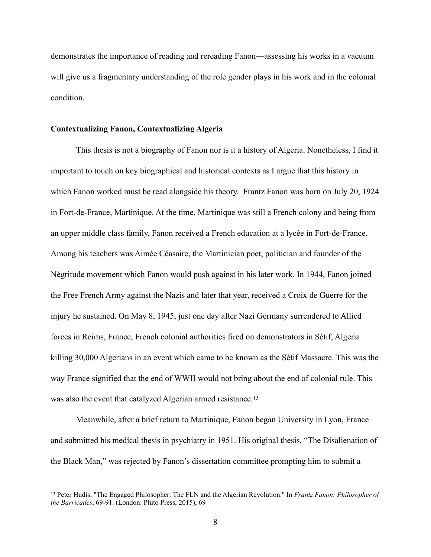demonstrates the importance of reading and rereading Fanon—assessing his works in a vacuum will give us a fragmentary understanding of the role gender plays in his work and in the colonial condition.

#### **Contextualizing Fanon, Contextualizing Algeria**

 This thesis is not a biography of Fanon nor is it a history of Algeria. Nonetheless, I find it important to touch on key biographical and historical contexts as I argue that this history in which Fanon worked must be read alongside his theory. Frantz Fanon was born on July 20, 1924 in Fort-de-France, Martinique. At the time, Martinique was still a French colony and being from an upper middle class family, Fanon received a French education at a lycée in Fort-de-France. Among his teachers was Aimée Céasaire, the Martinician poet, politician and founder of the Négritude movement which Fanon would push against in his later work. In 1944, Fanon joined the Free French Army against the Nazis and later that year, received a Croix de Guerre for the injury he sustained. On May 8, 1945, just one day after Nazi Germany surrendered to Allied forces in Reims, France, French colonial authorities fired on demonstrators in Sètif, Algeria killing 30,000 Algerians in an event which came to be known as the Sétif Massacre. This was the way France signified that the end of WWII would not bring about the end of colonial rule. This was also the event that catalyzed Algerian armed resistance.<sup>[13](#page-11-0)</sup>

<span id="page-11-1"></span> Meanwhile, after a brief return to Martinique, Fanon began University in Lyon, France and submitted his medical thesis in psychiatry in 1951. His original thesis, "The Disalienation of the Black Man," was rejected by Fanon's dissertation committee prompting him to submit a

<span id="page-11-0"></span>Peter Hudis, "The Engaged Philosopher: The FLN and the Algerian Revolution." In *Frantz Fanon: Philosopher of* [13](#page-11-1) *the Barricades*, 69-91. (London: Pluto Press, 2015), 69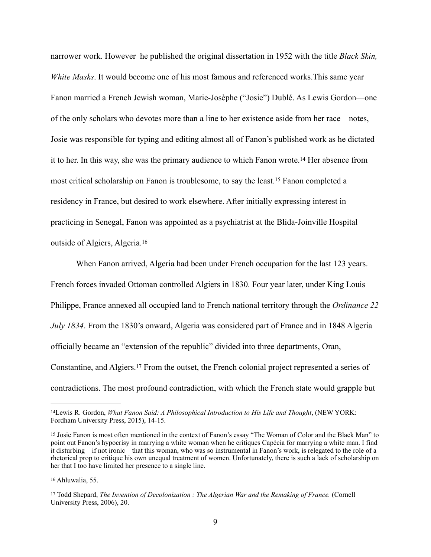<span id="page-12-4"></span>narrower work. However he published the original dissertation in 1952 with the title *Black Skin, White Masks*. It would become one of his most famous and referenced works.This same year Fanon married a French Jewish woman, Marie-Josèphe ("Josie") Dublé. As Lewis Gordon—one of the only scholars who devotes more than a line to her existence aside from her race—notes, Josie was responsible for typing and editing almost all of Fanon's published work as he dictated it to her[.](#page-12-0) In this way, she was the primary audience to which Fanon wrote.<sup>[14](#page-12-0)</sup> Her absence from mostcritical scholarship on Fanon is troublesome, to say the least.<sup>[15](#page-12-1)</sup> Fanon completed a residency in France, but desired to work elsewhere. After initially expressing interest in practicing in Senegal, Fanon was appointed as a psychiatrist at the Blida-Joinville Hospital outside of Algiers, Algeria. [16](#page-12-2)

<span id="page-12-6"></span><span id="page-12-5"></span> When Fanon arrived, Algeria had been under French occupation for the last 123 years. French forces invaded Ottoman controlled Algiers in 1830. Four year later, under King Louis Philippe, France annexed all occupied land to French national territory through the *Ordinance 22 July 1834*. From the 1830's onward, Algeria was considered part of France and in 1848 Algeria officially became an "extension of the republic" divided into three departments, Oran, Constantine, and Algiers[.](#page-12-3)<sup>[17](#page-12-3)</sup> From the outset, the French colonial project represented a series of contradictions. The most profound contradiction, with which the French state would grapple but

<span id="page-12-7"></span><span id="page-12-0"></span><sup>&</sup>lt;sup>[14](#page-12-4)</sup>Lewis R. Gordon, *What Fanon Said: A Philosophical Introduction to His Life and Thought*, (NEW YORK: Fordham University Press, 2015), 14-15.

<span id="page-12-1"></span><sup>&</sup>lt;sup>15</sup>Josie Fanon is most often mentioned in the context of Fanon's essay "The Woman of Color and the Black Man" to point out Fanon's hypocrisy in marrying a white woman when he critiques Capécia for marrying a white man. I find it disturbing—if not ironic—that this woman, who was so instrumental in Fanon's work, is relegated to the role of a rhetorical prop to critique his own unequal treatment of women. Unfortunately, there is such a lack of scholarship on her that I too have limited her presence to a single line.

<span id="page-12-2"></span><sup>&</sup>lt;sup>[16](#page-12-6)</sup> Ahluwalia, 55.

<span id="page-12-3"></span><sup>&</sup>lt;sup>[17](#page-12-7)</sup> Todd Shepard, *The Invention of Decolonization : The Algerian War and the Remaking of France.* (Cornell University Press, 2006), 20.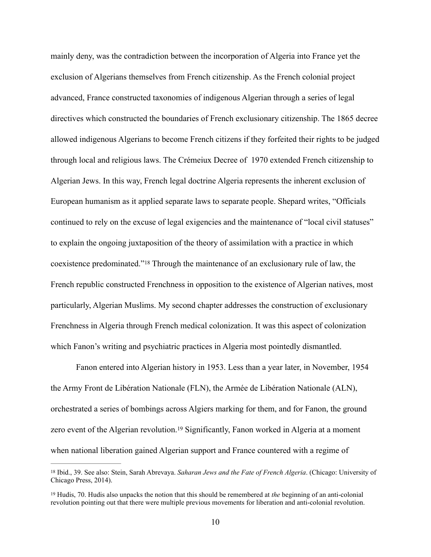mainly deny, was the contradiction between the incorporation of Algeria into France yet the exclusion of Algerians themselves from French citizenship. As the French colonial project advanced, France constructed taxonomies of indigenous Algerian through a series of legal directives which constructed the boundaries of French exclusionary citizenship. The 1865 decree allowed indigenous Algerians to become French citizens if they forfeited their rights to be judged through local and religious laws. The Crémeiux Decree of 1970 extended French citizenship to Algerian Jews. In this way, French legal doctrine Algeria represents the inherent exclusion of European humanism as it applied separate laws to separate people. Shepard writes, "Officials continued to rely on the excuse of legal exigencies and the maintenance of "local civil statuses" to explain the ongoing juxtaposition of the theory of assimilation with a practice in which coexistence predominated.["](#page-13-0)<sup>[18](#page-13-0)</sup> Through the maintenance of an exclusionary rule of law, the French republic constructed Frenchness in opposition to the existence of Algerian natives, most particularly, Algerian Muslims. My second chapter addresses the construction of exclusionary Frenchness in Algeria through French medical colonization. It was this aspect of colonization which Fanon's writing and psychiatric practices in Algeria most pointedly dismantled.

<span id="page-13-2"></span> Fanon entered into Algerian history in 1953. Less than a year later, in November, 1954 the Army Front de Libération Nationale (FLN), the Armée de Libération Nationale (ALN), orchestrated a series of bombings across Algiers marking for them, and for Fanon, the ground zeroevent of the Algerian revolution.<sup>[19](#page-13-1)</sup> Significantly, Fanon worked in Algeria at a moment when national liberation gained Algerian support and France countered with a regime of

<span id="page-13-3"></span><span id="page-13-0"></span>Ibid., 39. See also: Stein, Sarah Abrevaya. *Saharan Jews and the Fate of French Algeria*. (Chicago: University of [18](#page-13-2) Chicago Press, 2014).

<span id="page-13-1"></span><sup>&</sup>lt;sup>[19](#page-13-3)</sup> Hudis, 70. Hudis also unpacks the notion that this should be remembered at *the* beginning of an anti-colonial revolution pointing out that there were multiple previous movements for liberation and anti-colonial revolution.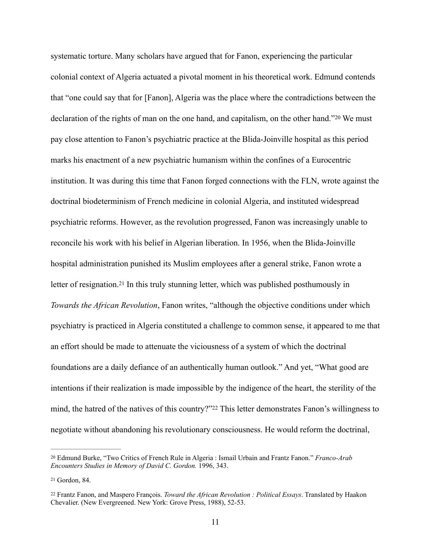<span id="page-14-3"></span>systematic torture. Many scholars have argued that for Fanon, experiencing the particular colonial context of Algeria actuated a pivotal moment in his theoretical work. Edmund contends that "one could say that for [Fanon], Algeria was the place where the contradictions between the declarationof the rights of man on the one hand, and capitalism, on the other hand."<sup>[20](#page-14-0)</sup> We must pay close attention to Fanon's psychiatric practice at the Blida-Joinville hospital as this period marks his enactment of a new psychiatric humanism within the confines of a Eurocentric institution. It was during this time that Fanon forged connections with the FLN, wrote against the doctrinal biodeterminism of French medicine in colonial Algeria, and instituted widespread psychiatric reforms. However, as the revolution progressed, Fanon was increasingly unable to reconcile his work with his belief in Algerian liberation. In 1956, when the Blida-Joinville hospital administration punished its Muslim employees after a general strike, Fanon wrote a letterof resignation.<sup>[21](#page-14-1)</sup> In this truly stunning letter, which was published posthumously in *Towards the African Revolution*, Fanon writes, "although the objective conditions under which psychiatry is practiced in Algeria constituted a challenge to common sense, it appeared to me that an effort should be made to attenuate the viciousness of a system of which the doctrinal foundations are a daily defiance of an authentically human outlook." And yet, "What good are intentions if their realization is made impossible by the indigence of the heart, the sterility of the mind,the hatred of the natives of this country?"<sup>[22](#page-14-2)</sup> This letter demonstrates Fanon's willingness to negotiate without abandoning his revolutionary consciousness. He would reform the doctrinal,

<span id="page-14-5"></span><span id="page-14-4"></span><span id="page-14-0"></span>Edmund Burke, "Two Critics of French Rule in Algeria : Ismail Urbain and Frantz Fanon." *Franco-Arab* [20](#page-14-3) *Encounters Studies in Memory of David C. Gordon.* 1996, 343.

<span id="page-14-1"></span><sup>&</sup>lt;sup>21</sup>Gordon, 84.

<span id="page-14-2"></span>Frantz Fanon, and Maspero François. *Toward the African Revolution : Political Essays*. Translated by Haakon [22](#page-14-5) Chevalier. (New Evergreened. New York: Grove Press, 1988), 52-53.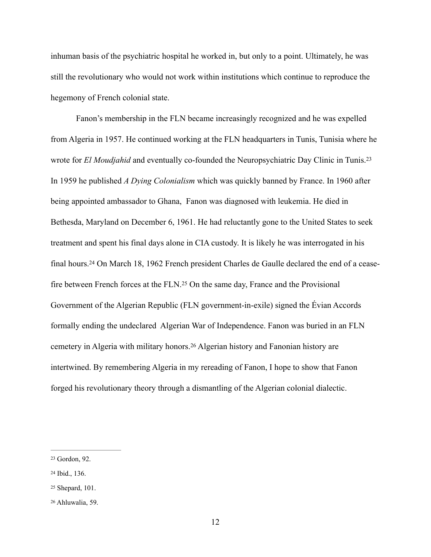inhuman basis of the psychiatric hospital he worked in, but only to a point. Ultimately, he was still the revolutionary who would not work within institutions which continue to reproduce the hegemony of French colonial state.

<span id="page-15-6"></span><span id="page-15-5"></span><span id="page-15-4"></span> Fanon's membership in the FLN became increasingly recognized and he was expelled from Algeria in 1957. He continued working at the FLN headquarters in Tunis, Tunisia where he wrote for *El Moudjahid* and eventually co-founded the Neuropsychiatric Day Clinic in Tunis[.23](#page-15-0) In 1959 he published *A Dying Colonialism* which was quickly banned by France. In 1960 after being appointed ambassador to Ghana, Fanon was diagnosed with leukemia. He died in Bethesda, Maryland on December 6, 1961. He had reluctantly gone to the United States to seek treatment and spent his final days alone in CIA custody. It is likely he was interrogated in his finalhours.<sup>24</sup> On March 18, 1962 French president Charles de Gaulle declared the end of a cease-fire between French forces at the FLN[.](#page-15-2)<sup>[25](#page-15-2)</sup> On the same day, France and the Provisional Government of the Algerian Republic (FLN government-in-exile) signed the Évian Accords formally ending the undeclared Algerian War of Independence. Fanon was buried in an FLN cemeteryin Algeria with military honors.<sup>[26](#page-15-3)</sup> Algerian history and Fanonian history are intertwined. By remembering Algeria in my rereading of Fanon, I hope to show that Fanon forged his revolutionary theory through a dismantling of the Algerian colonial dialectic.

<span id="page-15-7"></span><span id="page-15-0"></span><sup>&</sup>lt;sup>23</sup>Gordon, 92.

<span id="page-15-1"></span><sup>24</sup>Ibid., 136.

<span id="page-15-2"></span><sup>&</sup>lt;sup>25</sup>Shepard, 101.

<span id="page-15-3"></span><sup>&</sup>lt;sup>[26](#page-15-7)</sup> Ahluwalia, 59.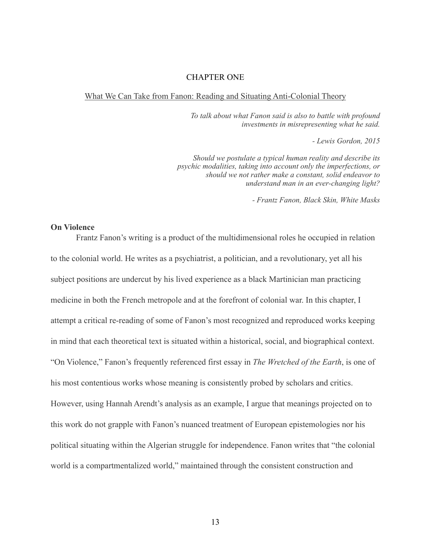### CHAPTER ONE

#### What We Can Take from Fanon: Reading and Situating Anti-Colonial Theory

*To talk about what Fanon said is also to battle with profound investments in misrepresenting what he said.* 

*- Lewis Gordon, 2015* 

*Should we postulate a typical human reality and describe its psychic modalities, taking into account only the imperfections, or should we not rather make a constant, solid endeavor to understand man in an ever-changing light?* 

*- Frantz Fanon, Black Skin, White Masks* 

#### **On Violence**

Frantz Fanon's writing is a product of the multidimensional roles he occupied in relation to the colonial world. He writes as a psychiatrist, a politician, and a revolutionary, yet all his subject positions are undercut by his lived experience as a black Martinician man practicing medicine in both the French metropole and at the forefront of colonial war. In this chapter, I attempt a critical re-reading of some of Fanon's most recognized and reproduced works keeping in mind that each theoretical text is situated within a historical, social, and biographical context. "On Violence," Fanon's frequently referenced first essay in *The Wretched of the Earth*, is one of his most contentious works whose meaning is consistently probed by scholars and critics. However, using Hannah Arendt's analysis as an example, I argue that meanings projected on to this work do not grapple with Fanon's nuanced treatment of European epistemologies nor his political situating within the Algerian struggle for independence. Fanon writes that "the colonial world is a compartmentalized world," maintained through the consistent construction and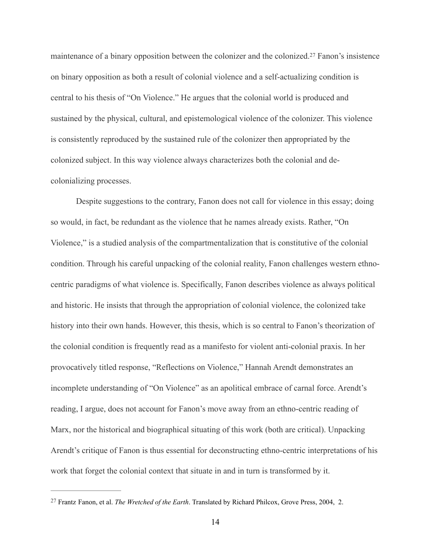<span id="page-17-1"></span>maintenance of a binary opposition between the colonizer and the colonized[.](#page-17-0)<sup>[27](#page-17-0)</sup> Fanon's insistence on binary opposition as both a result of colonial violence and a self-actualizing condition is central to his thesis of "On Violence." He argues that the colonial world is produced and sustained by the physical, cultural, and epistemological violence of the colonizer. This violence is consistently reproduced by the sustained rule of the colonizer then appropriated by the colonized subject. In this way violence always characterizes both the colonial and decolonializing processes.

Despite suggestions to the contrary, Fanon does not call for violence in this essay; doing so would, in fact, be redundant as the violence that he names already exists. Rather, "On Violence," is a studied analysis of the compartmentalization that is constitutive of the colonial condition. Through his careful unpacking of the colonial reality, Fanon challenges western ethnocentric paradigms of what violence is. Specifically, Fanon describes violence as always political and historic. He insists that through the appropriation of colonial violence, the colonized take history into their own hands. However, this thesis, which is so central to Fanon's theorization of the colonial condition is frequently read as a manifesto for violent anti-colonial praxis. In her provocatively titled response, "Reflections on Violence," Hannah Arendt demonstrates an incomplete understanding of "On Violence" as an apolitical embrace of carnal force. Arendt's reading, I argue, does not account for Fanon's move away from an ethno-centric reading of Marx, nor the historical and biographical situating of this work (both are critical). Unpacking Arendt's critique of Fanon is thus essential for deconstructing ethno-centric interpretations of his work that forget the colonial context that situate in and in turn is transformed by it.

<span id="page-17-0"></span><sup>&</sup>lt;sup>[27](#page-17-1)</sup> Frantz Fanon, et al. *The Wretched of the Earth*. Translated by Richard Philcox, Grove Press, 2004, 2.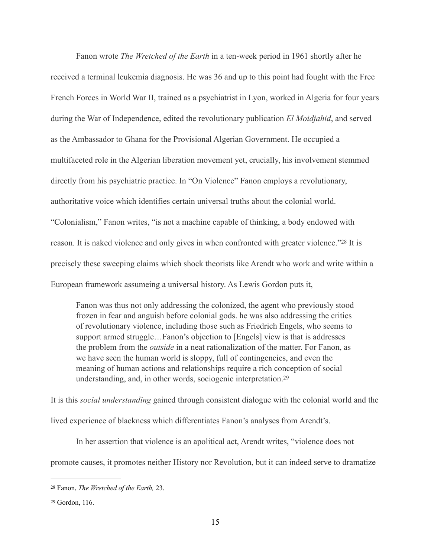Fanon wrote *The Wretched of the Earth* in a ten-week period in 1961 shortly after he received a terminal leukemia diagnosis. He was 36 and up to this point had fought with the Free French Forces in World War II, trained as a psychiatrist in Lyon, worked in Algeria for four years during the War of Independence, edited the revolutionary publication *El Moidjahid*, and served as the Ambassador to Ghana for the Provisional Algerian Government. He occupied a multifaceted role in the Algerian liberation movement yet, crucially, his involvement stemmed directly from his psychiatric practice. In "On Violence" Fanon employs a revolutionary, authoritative voice which identifies certain universal truths about the colonial world. "Colonialism," Fanon writes, "is not a machine capable of thinking, a body endowed with reason.It is naked violence and only gives in when confronted with greater violence."<sup>[28](#page-18-0)</sup> It is precisely these sweeping claims which shock theorists like Arendt who work and write within a European framework assumeing a universal history. As Lewis Gordon puts it,

<span id="page-18-3"></span><span id="page-18-2"></span>Fanon was thus not only addressing the colonized, the agent who previously stood frozen in fear and anguish before colonial gods. he was also addressing the critics of revolutionary violence, including those such as Friedrich Engels, who seems to support armed struggle…Fanon's objection to [Engels] view is that is addresses the problem from the *outside* in a neat rationalization of the matter. For Fanon, as we have seen the human world is sloppy, full of contingencies, and even the meaning of human actions and relationships require a rich conception of social understanding, and, in other words, sociogenic interpretation.[29](#page-18-1)

It is this *social understanding* gained through consistent dialogue with the colonial world and the lived experience of blackness which differentiates Fanon's analyses from Arendt's.

In her assertion that violence is an apolitical act, Arendt writes, "violence does not

promote causes, it promotes neither History nor Revolution, but it can indeed serve to dramatize

<span id="page-18-0"></span><sup>&</sup>lt;sup>[28](#page-18-2)</sup> Fanon, *The Wretched of the Earth*, 23.

<span id="page-18-1"></span><sup>&</sup>lt;sup>[29](#page-18-3)</sup> Gordon, 116.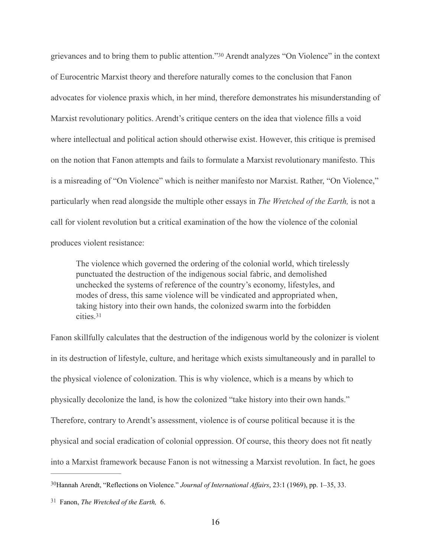<span id="page-19-2"></span>grievancesand to bring them to public attention."<sup>[30](#page-19-0)</sup> Arendt analyzes "On Violence" in the context of Eurocentric Marxist theory and therefore naturally comes to the conclusion that Fanon advocates for violence praxis which, in her mind, therefore demonstrates his misunderstanding of Marxist revolutionary politics. Arendt's critique centers on the idea that violence fills a void where intellectual and political action should otherwise exist. However, this critique is premised on the notion that Fanon attempts and fails to formulate a Marxist revolutionary manifesto. This is a misreading of "On Violence" which is neither manifesto nor Marxist. Rather, "On Violence," particularly when read alongside the multiple other essays in *The Wretched of the Earth,* is not a call for violent revolution but a critical examination of the how the violence of the colonial produces violent resistance:

The violence which governed the ordering of the colonial world, which tirelessly punctuated the destruction of the indigenous social fabric, and demolished unchecked the systems of reference of the country's economy, lifestyles, and modes of dress, this same violence will be vindicated and appropriated when, taking history into their own hands, the colonized swarm into the forbidden cities<sup>[31](#page-19-1)</sup>

<span id="page-19-3"></span>Fanon skillfully calculates that the destruction of the indigenous world by the colonizer is violent in its destruction of lifestyle, culture, and heritage which exists simultaneously and in parallel to the physical violence of colonization. This is why violence, which is a means by which to physically decolonize the land, is how the colonized "take history into their own hands." Therefore, contrary to Arendt's assessment, violence is of course political because it is the physical and social eradication of colonial oppression. Of course, this theory does not fit neatly into a Marxist framework because Fanon is not witnessing a Marxist revolution. In fact, he goes

<span id="page-19-0"></span><sup>&</sup>lt;sup>[30](#page-19-2)</sup>Hannah Arendt, "Reflections on Violence." *Journal of International Affairs*, 23:1 (1969), pp. 1–35, 33.

<span id="page-19-1"></span>Fanon, *The Wretched of the Earth,* 6. [31](#page-19-3)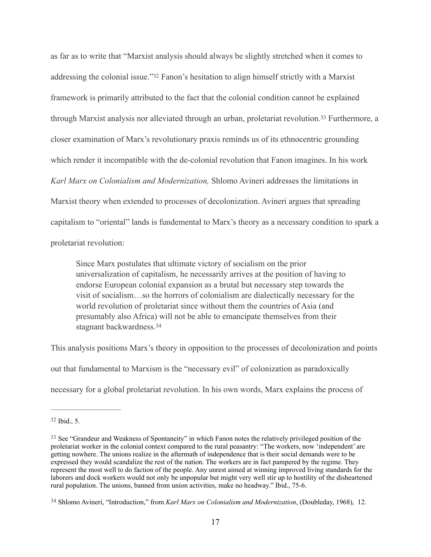<span id="page-20-4"></span><span id="page-20-3"></span>as far as to write that "Marxist analysis should always be slightly stretched when it comes to addressingthe colonial issue." [32](#page-20-0) Fanon's hesitation to align himself strictly with a Marxist framework is primarily attributed to the fact that the colonial condition cannot be explained throughMarxist analysis nor alleviated through an urban, proletariat revolution.<sup>[33](#page-20-1)</sup> Furthermore, a closer examination of Marx's revolutionary praxis reminds us of its ethnocentric grounding which render it incompatible with the de-colonial revolution that Fanon imagines. In his work *Karl Marx on Colonialism and Modernization,* Shlomo Avineri addresses the limitations in Marxist theory when extended to processes of decolonization. Avineri argues that spreading capitalism to "oriental" lands is fundemental to Marx's theory as a necessary condition to spark a proletariat revolution:

<span id="page-20-5"></span>Since Marx postulates that ultimate victory of socialism on the prior universalization of capitalism, he necessarily arrives at the position of having to endorse European colonial expansion as a brutal but necessary step towards the visit of socialism…so the horrors of colonialism are dialectically necessary for the world revolution of proletariat since without them the countries of Asia (and presumably also Africa) will not be able to emancipate themselves from their stagnant backwardness[.34](#page-20-2)

This analysis positions Marx's theory in opposition to the processes of decolonization and points out that fundamental to Marxism is the "necessary evil" of colonization as paradoxically necessary for a global proletariat revolution. In his own words, Marx explains the process of

<span id="page-20-0"></span> $32$  Ibid., 5.

<span id="page-20-1"></span><sup>&</sup>lt;sup>[33](#page-20-4)</sup> See "Grandeur and Weakness of Spontaneity" in which Fanon notes the relatively privileged position of the proletariat worker in the colonial context compared to the rural peasantry: "The workers, now 'independent' are getting nowhere. The unions realize in the aftermath of independence that is their social demands were to be expressed they would scandalize the rest of the nation. The workers are in fact pampered by the regime. They represent the most well to do faction of the people. Any unrest aimed at winning improved living standards for the laborers and dock workers would not only be unpopular but might very well stir up to hostility of the disheartened rural population. The unions, banned from union activities, make no headway." Ibid., 75-6.

<span id="page-20-2"></span><sup>&</sup>lt;sup>[34](#page-20-5)</sup> Shlomo Avineri, "Introduction," from *Karl Marx on Colonialism and Modernization*, (Doubleday, 1968), 12.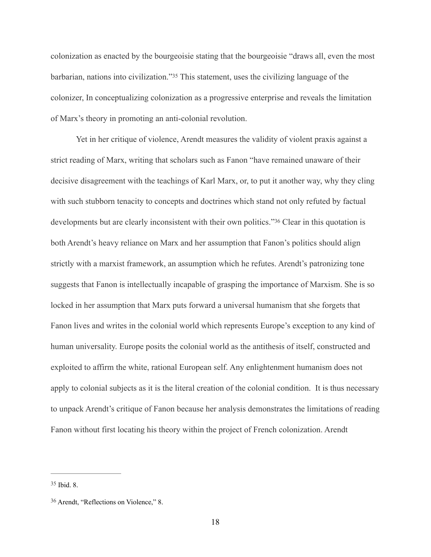<span id="page-21-2"></span>colonization as enacted by the bourgeoisie stating that the bourgeoisie "draws all, even the most barbarian,nations into civilization."<sup>[35](#page-21-0)</sup> This statement, uses the civilizing language of the colonizer, In conceptualizing colonization as a progressive enterprise and reveals the limitation of Marx's theory in promoting an anti-colonial revolution.

<span id="page-21-3"></span> Yet in her critique of violence, Arendt measures the validity of violent praxis against a strict reading of Marx, writing that scholars such as Fanon "have remained unaware of their decisive disagreement with the teachings of Karl Marx, or, to put it another way, why they cling with such stubborn tenacity to concepts and doctrines which stand not only refuted by factual developments but are clearly inconsistent with their own politics.["](#page-21-1)<sup>[36](#page-21-1)</sup> Clear in this quotation is both Arendt's heavy reliance on Marx and her assumption that Fanon's politics should align strictly with a marxist framework, an assumption which he refutes. Arendt's patronizing tone suggests that Fanon is intellectually incapable of grasping the importance of Marxism. She is so locked in her assumption that Marx puts forward a universal humanism that she forgets that Fanon lives and writes in the colonial world which represents Europe's exception to any kind of human universality. Europe posits the colonial world as the antithesis of itself, constructed and exploited to affirm the white, rational European self. Any enlightenment humanism does not apply to colonial subjects as it is the literal creation of the colonial condition. It is thus necessary to unpack Arendt's critique of Fanon because her analysis demonstrates the limitations of reading Fanon without first locating his theory within the project of French colonization. Arendt

<span id="page-21-0"></span> $35$  Ibid. 8.

<span id="page-21-1"></span><sup>&</sup>lt;sup>[36](#page-21-3)</sup> Arendt, "Reflections on Violence," 8.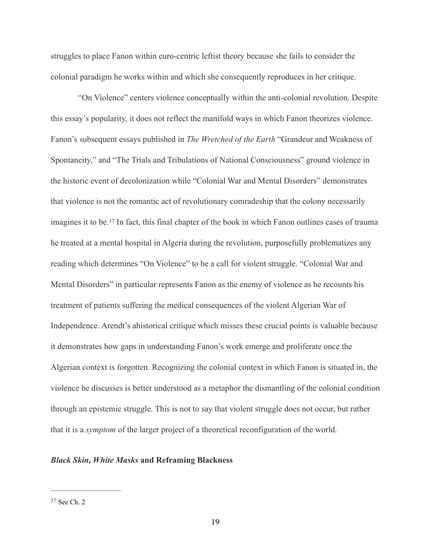struggles to place Fanon within euro-centric leftist theory because she fails to consider the colonial paradigm he works within and which she consequently reproduces in her critique.

<span id="page-22-1"></span> "On Violence" centers violence conceptually within the anti-colonial revolution. Despite this essay's popularity, it does not reflect the manifold ways in which Fanon theorizes violence. Fanon's subsequent essays published in *The Wretched of the Earth* "Grandeur and Weakness of Spontaneity," and "The Trials and Tribulations of National Consciousness" ground violence in the historic event of decolonization while "Colonial War and Mental Disorders" demonstrates that violence is not the romantic act of revolutionary comradeship that the colony necessarily imaginesit to be.<sup>[37](#page-22-0)</sup> In fact, this final chapter of the book in which Fanon outlines cases of trauma he treated at a mental hospital in Algeria during the revolution, purposefully problematizes any reading which determines "On Violence" to be a call for violent struggle. "Colonial War and Mental Disorders" in particular represents Fanon as the enemy of violence as he recounts his treatment of patients suffering the medical consequences of the violent Algerian War of Independence. Arendt's ahistorical critique which misses these crucial points is valuable because it demonstrates how gaps in understanding Fanon's work emerge and proliferate once the Algerian context is forgotten. Recognizing the colonial context in which Fanon is situated in, the violence he discusses is better understood as a metaphor the dismantling of the colonial condition through an epistemic struggle. This is not to say that violent struggle does not occur, but rather that it is a *symptom* of the larger project of a theoretical reconfiguration of the world.

## *Black Skin, White Masks* **and Reframing Blackness**

<span id="page-22-0"></span>[<sup>37</sup>](#page-22-1) See Ch. 2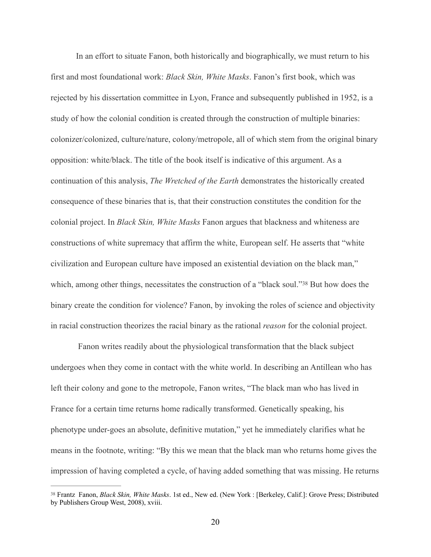In an effort to situate Fanon, both historically and biographically, we must return to his first and most foundational work: *Black Skin, White Masks*. Fanon's first book, which was rejected by his dissertation committee in Lyon, France and subsequently published in 1952, is a study of how the colonial condition is created through the construction of multiple binaries: colonizer/colonized, culture/nature, colony/metropole, all of which stem from the original binary opposition: white/black. The title of the book itself is indicative of this argument. As a continuation of this analysis, *The Wretched of the Earth* demonstrates the historically created consequence of these binaries that is, that their construction constitutes the condition for the colonial project. In *Black Skin, White Masks* Fanon argues that blackness and whiteness are constructions of white supremacy that affirm the white, European self. He asserts that "white civilization and European culture have imposed an existential deviation on the black man," which,among other things, necessitates the construction of a "black soul."  $38$  But how does the binary create the condition for violence? Fanon, by invoking the roles of science and objectivity in racial construction theorizes the racial binary as the rational *reason* for the colonial project.

<span id="page-23-1"></span> Fanon writes readily about the physiological transformation that the black subject undergoes when they come in contact with the white world. In describing an Antillean who has left their colony and gone to the metropole, Fanon writes, "The black man who has lived in France for a certain time returns home radically transformed. Genetically speaking, his phenotype under-goes an absolute, definitive mutation," yet he immediately clarifies what he means in the footnote, writing: "By this we mean that the black man who returns home gives the impression of having completed a cycle, of having added something that was missing. He returns

<span id="page-23-0"></span>Frantz Fanon, *Black Skin, White Masks*. 1st ed., New ed. (New York : [Berkeley, Calif.]: Grove Press; Distributed [38](#page-23-1) by Publishers Group West, 2008), xviii.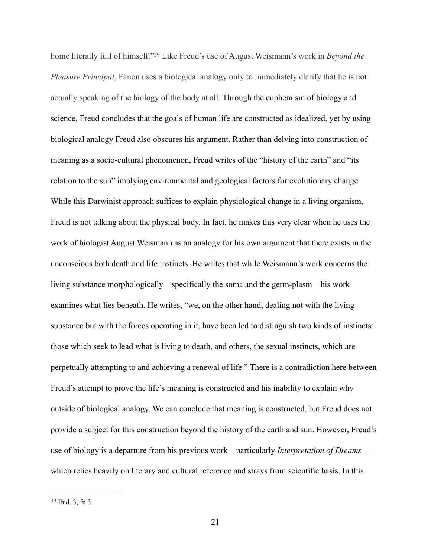<span id="page-24-1"></span>homeliterally full of himself."<sup>39</sup> Like Freud's use of August Weismann's work in *Beyond the Pleasure Principal*, Fanon uses a biological analogy only to immediately clarify that he is not actually speaking of the biology of the body at all. Through the euphemism of biology and science, Freud concludes that the goals of human life are constructed as idealized, yet by using biological analogy Freud also obscures his argument. Rather than delving into construction of meaning as a socio-cultural phenomenon, Freud writes of the "history of the earth" and "its relation to the sun" implying environmental and geological factors for evolutionary change. While this Darwinist approach suffices to explain physiological change in a living organism, Freud is not talking about the physical body. In fact, he makes this very clear when he uses the work of biologist August Weismann as an analogy for his own argument that there exists in the unconscious both death and life instincts. He writes that while Weismann's work concerns the living substance morphologically—specifically the soma and the germ-plasm—his work examines what lies beneath. He writes, "we, on the other hand, dealing not with the living substance but with the forces operating in it, have been led to distinguish two kinds of instincts: those which seek to lead what is living to death, and others, the sexual instincts, which are perpetually attempting to and achieving a renewal of life." There is a contradiction here between Freud's attempt to prove the life's meaning is constructed and his inability to explain why outside of biological analogy. We can conclude that meaning is constructed, but Freud does not provide a subject for this construction beyond the history of the earth and sun. However, Freud's use of biology is a departure from his previous work—particularly *Interpretation of Dreams* which relies heavily on literary and cultural reference and strays from scientific basis. In this

<span id="page-24-0"></span> $39$  Ibid. 3, fn 3.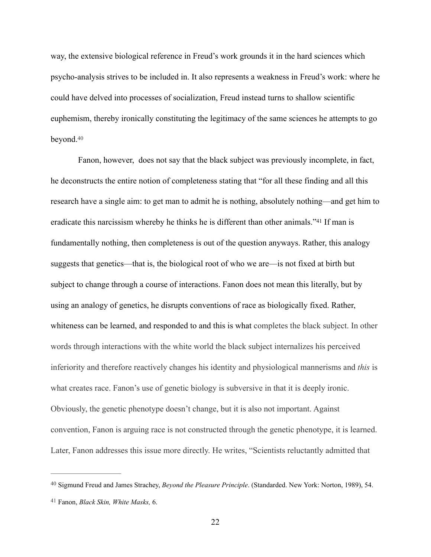way, the extensive biological reference in Freud's work grounds it in the hard sciences which psycho-analysis strives to be included in. It also represents a weakness in Freud's work: where he could have delved into processes of socialization, Freud instead turns to shallow scientific euphemism, thereby ironically constituting the legitimacy of the same sciences he attempts to go beyond[.](#page-25-0) [40](#page-25-0)

<span id="page-25-3"></span><span id="page-25-2"></span> Fanon, however, does not say that the black subject was previously incomplete, in fact, he deconstructs the entire notion of completeness stating that "for all these finding and all this research have a single aim: to get man to admit he is nothing, absolutely nothing—and get him to eradicatethis narcissism whereby he thinks he is different than other animals."<sup>[41](#page-25-1)</sup> If man is fundamentally nothing, then completeness is out of the question anyways. Rather, this analogy suggests that genetics—that is, the biological root of who we are—is not fixed at birth but subject to change through a course of interactions. Fanon does not mean this literally, but by using an analogy of genetics, he disrupts conventions of race as biologically fixed. Rather, whiteness can be learned, and responded to and this is what completes the black subject. In other words through interactions with the white world the black subject internalizes his perceived inferiority and therefore reactively changes his identity and physiological mannerisms and *this* is what creates race. Fanon's use of genetic biology is subversive in that it is deeply ironic. Obviously, the genetic phenotype doesn't change, but it is also not important. Against convention, Fanon is arguing race is not constructed through the genetic phenotype, it is learned. Later, Fanon addresses this issue more directly. He writes, "Scientists reluctantly admitted that

<span id="page-25-0"></span><sup>&</sup>lt;sup>[40](#page-25-2)</sup> Sigmund Freud and James Strachey, *Beyond the Pleasure Principle*. (Standarded. New York: Norton, 1989), 54.

<span id="page-25-1"></span>Fanon, *Black Skin, White Masks,* 6. [41](#page-25-3)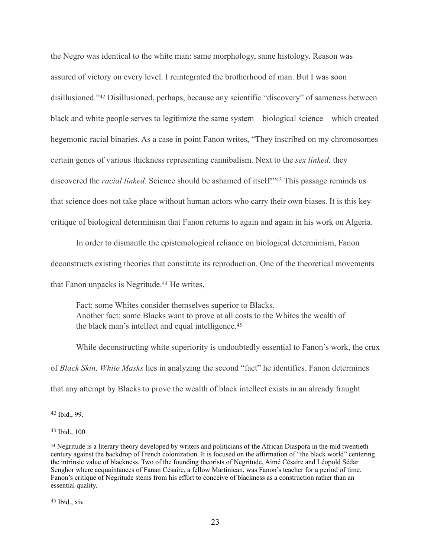<span id="page-26-4"></span>the Negro was identical to the white man: same morphology, same histology. Reason was assured of victory on every level. I reintegrated the brotherhood of man. But I was soon disillusioned."<sup>42</sup>Disillusioned, perhaps, because any scientific "discovery" of sameness between black and white people serves to legitimize the same system—biological science—which created hegemonic racial binaries. As a case in point Fanon writes, "They inscribed on my chromosomes certain genes of various thickness representing cannibalism. Next to the *sex linked*, they discoveredthe *racial linked*. Science should be ashamed of itself!"<sup>[43](#page-26-1)</sup> This passage reminds us that science does not take place without human actors who carry their own biases. It is this key critique of biological determinism that Fanon returns to again and again in his work on Algeria.

<span id="page-26-5"></span>In order to dismantle the epistemological reliance on biological determinism, Fanon

deconstructs existing theories that constitute its reproduction. One of the theoretical movements

that Fanon unpacks is Negritude[.](#page-26-2)<sup>[44](#page-26-2)</sup> He writes,

<span id="page-26-7"></span><span id="page-26-6"></span>Fact: some Whites consider themselves superior to Blacks. Another fact: some Blacks want to prove at all costs to the Whites the wealth of the black man's intellect and equal intelligence[.](#page-26-3) [45](#page-26-3)

While deconstructing white superiority is undoubtedly essential to Fanon's work, the crux of *Black Skin, White Masks* lies in analyzing the second "fact" he identifies. Fanon determines that any attempt by Blacks to prove the wealth of black intellect exists in an already fraught

<span id="page-26-0"></span> $42$  Ibid., 99.

<span id="page-26-1"></span> $43$  Ibid., 100.

<span id="page-26-3"></span><span id="page-26-2"></span>Negritude is a literary theory developed by writers and politicians of the African Diaspora in the mid twentieth [44](#page-26-6) century against the backdrop of French colonization. It is focused on the affirmation of "the black world" centering the intrinsic value of blackness. Two of the founding theorists of Negritude, Aimé Césaire and Léopold Sédar Senghor where acquaintances of Fanan Césaire, a fellow Martinican, was Fanon's teacher for a period of time. Fanon's critique of Negritude stems from his effort to conceive of blackness as a construction rather than an essential quality.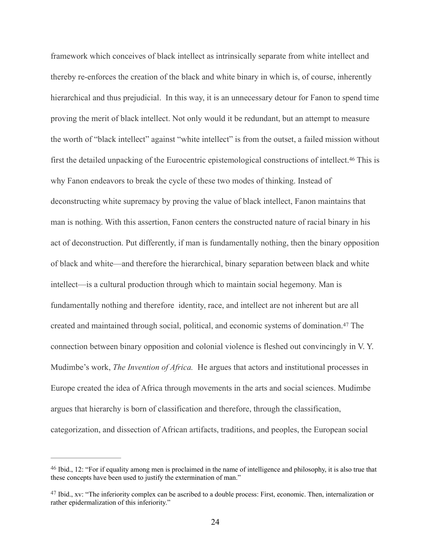<span id="page-27-2"></span>framework which conceives of black intellect as intrinsically separate from white intellect and thereby re-enforces the creation of the black and white binary in which is, of course, inherently hierarchical and thus prejudicial. In this way, it is an unnecessary detour for Fanon to spend time proving the merit of black intellect. Not only would it be redundant, but an attempt to measure the worth of "black intellect" against "white intellect" is from the outset, a failed mission without first the detailed unpacking of the Eurocentric epistemological constructions of intellect[.](#page-27-0)<sup>[46](#page-27-0)</sup> This is why Fanon endeavors to break the cycle of these two modes of thinking. Instead of deconstructing white supremacy by proving the value of black intellect, Fanon maintains that man is nothing. With this assertion, Fanon centers the constructed nature of racial binary in his act of deconstruction. Put differently, if man is fundamentally nothing, then the binary opposition of black and white—and therefore the hierarchical, binary separation between black and white intellect—is a cultural production through which to maintain social hegemony. Man is fundamentally nothing and therefore identity, race, and intellect are not inherent but are all createdand maintained through social, political, and economic systems of domination.<sup>[47](#page-27-1)</sup> The connection between binary opposition and colonial violence is fleshed out convincingly in V. Y. Mudimbe's work, *The Invention of Africa.* He argues that actors and institutional processes in Europe created the idea of Africa through movements in the arts and social sciences. Mudimbe argues that hierarchy is born of classification and therefore, through the classification, categorization, and dissection of African artifacts, traditions, and peoples, the European social

<span id="page-27-3"></span><span id="page-27-0"></span> $46$  Ibid., 12: "For if equality among men is proclaimed in the name of intelligence and philosophy, it is also true that these concepts have been used to justify the extermination of man."

<span id="page-27-1"></span> $47$  Ibid., xv: "The inferiority complex can be ascribed to a double process: First, economic. Then, internalization or rather epidermalization of this inferiority."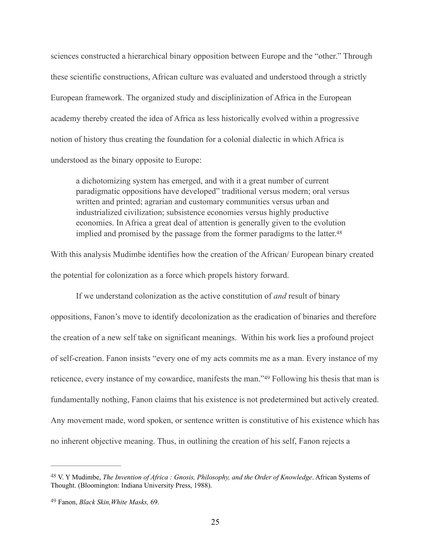sciences constructed a hierarchical binary opposition between Europe and the "other." Through these scientific constructions, African culture was evaluated and understood through a strictly European framework. The organized study and disciplinization of Africa in the European academy thereby created the idea of Africa as less historically evolved within a progressive notion of history thus creating the foundation for a colonial dialectic in which Africa is understood as the binary opposite to Europe:

<span id="page-28-2"></span>a dichotomizing system has emerged, and with it a great number of current paradigmatic oppositions have developed" traditional versus modern; oral versus written and printed; agrarian and customary communities versus urban and industrialized civilization; subsistence economies versus highly productive economies. In Africa a great deal of attention is generally given to the evolution implied and promised by the passage from the former paradigms to the latter.<sup>48</sup>

With this analysis Mudimbe identifies how the creation of the African/ European binary created the potential for colonization as a force which propels history forward.

<span id="page-28-3"></span>If we understand colonization as the active constitution of *and* result of binary oppositions, Fanon's move to identify decolonization as the eradication of binaries and therefore the creation of a new self take on significant meanings. Within his work lies a profound project of self-creation. Fanon insists "every one of my acts commits me as a man. Every instance of my reticence,every instance of my cowardice, manifests the man."[49](#page-28-1) Following his thesis that man is fundamentally nothing, Fanon claims that his existence is not predetermined but actively created. Any movement made, word spoken, or sentence written is constitutive of his existence which has no inherent objective meaning. Thus, in outlining the creation of his self, Fanon rejects a

<span id="page-28-0"></span><sup>&</sup>lt;sup>[48](#page-28-2)</sup> V. Y Mudimbe, *The Invention of Africa : Gnosis, Philosophy, and the Order of Knowledge*. African Systems of Thought. (Bloomington: Indiana University Press, 1988).

<span id="page-28-1"></span>Fanon, *Black Skin,White Masks,* 69. [49](#page-28-3)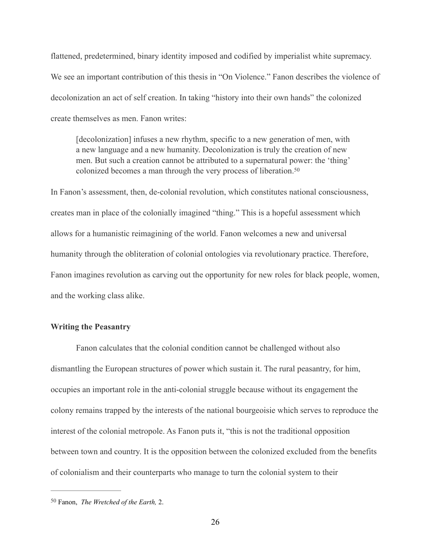flattened, predetermined, binary identity imposed and codified by imperialist white supremacy. We see an important contribution of this thesis in "On Violence." Fanon describes the violence of decolonization an act of self creation. In taking "history into their own hands" the colonized create themselves as men. Fanon writes:

<span id="page-29-1"></span>[decolonization] infuses a new rhythm, specific to a new generation of men, with a new language and a new humanity. Decolonization is truly the creation of new men. But such a creation cannot be attributed to a supernatural power: the 'thing' colonized becomes a man through the very process of liberation. [50](#page-29-0)

In Fanon's assessment, then, de-colonial revolution, which constitutes national consciousness, creates man in place of the colonially imagined "thing." This is a hopeful assessment which allows for a humanistic reimagining of the world. Fanon welcomes a new and universal humanity through the obliteration of colonial ontologies via revolutionary practice. Therefore, Fanon imagines revolution as carving out the opportunity for new roles for black people, women, and the working class alike.

#### **Writing the Peasantry**

Fanon calculates that the colonial condition cannot be challenged without also dismantling the European structures of power which sustain it. The rural peasantry, for him, occupies an important role in the anti-colonial struggle because without its engagement the colony remains trapped by the interests of the national bourgeoisie which serves to reproduce the interest of the colonial metropole. As Fanon puts it, "this is not the traditional opposition between town and country. It is the opposition between the colonized excluded from the benefits of colonialism and their counterparts who manage to turn the colonial system to their

<span id="page-29-0"></span><sup>&</sup>lt;sup>[50](#page-29-1)</sup> Fanon, *The Wretched of the Earth*, 2.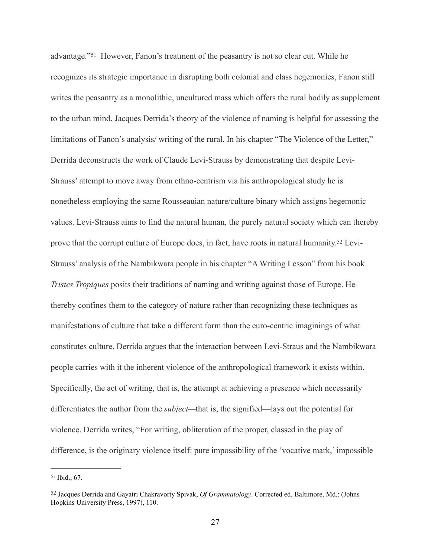<span id="page-30-3"></span><span id="page-30-2"></span>advantage."<sup>51</sup>However, Fanon's treatment of the peasantry is not so clear cut. While he recognizes its strategic importance in disrupting both colonial and class hegemonies, Fanon still writes the peasantry as a monolithic, uncultured mass which offers the rural bodily as supplement to the urban mind. Jacques Derrida's theory of the violence of naming is helpful for assessing the limitations of Fanon's analysis/ writing of the rural. In his chapter "The Violence of the Letter," Derrida deconstructs the work of Claude Levi-Strauss by demonstrating that despite Levi-Strauss' attempt to move away from ethno-centrism via his anthropological study he is nonetheless employing the same Rousseauian nature/culture binary which assigns hegemonic values. Levi-Strauss aims to find the natural human, the purely natural society which can thereby provethat the corrupt culture of Europe does, in fact, have roots in natural humanity.<sup>52</sup> Levi-Strauss' analysis of the Nambikwara people in his chapter "A Writing Lesson" from his book *Tristes Tropiques* posits their traditions of naming and writing against those of Europe. He thereby confines them to the category of nature rather than recognizing these techniques as manifestations of culture that take a different form than the euro-centric imaginings of what constitutes culture. Derrida argues that the interaction between Levi-Straus and the Nambikwara people carries with it the inherent violence of the anthropological framework it exists within. Specifically, the act of writing, that is, the attempt at achieving a presence which necessarily differentiates the author from the *subject—*that is, the signified—lays out the potential for violence. Derrida writes, "For writing, obliteration of the proper, classed in the play of difference, is the originary violence itself: pure impossibility of the 'vocative mark,' impossible

<span id="page-30-0"></span> $51$  Ibid., 67.

<span id="page-30-1"></span><sup>&</sup>lt;sup>[52](#page-30-3)</sup> Jacques Derrida and Gayatri Chakravorty Spivak, *Of Grammatology*. Corrected ed. Baltimore, Md.: (Johns Hopkins University Press, 1997), 110.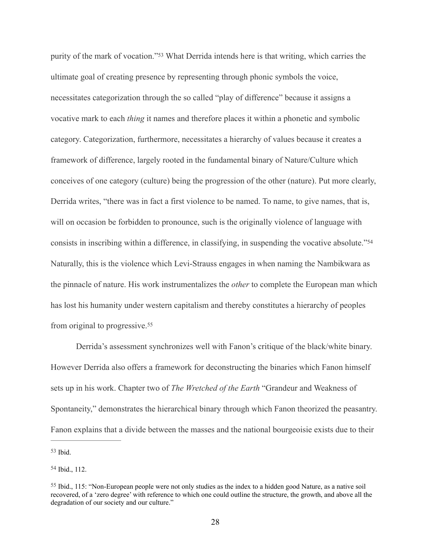<span id="page-31-3"></span>purityof the mark of vocation."<sup>[53](#page-31-0)</sup> What Derrida intends here is that writing, which carries the ultimate goal of creating presence by representing through phonic symbols the voice, necessitates categorization through the so called "play of difference" because it assigns a vocative mark to each *thing* it names and therefore places it within a phonetic and symbolic category. Categorization, furthermore, necessitates a hierarchy of values because it creates a framework of difference, largely rooted in the fundamental binary of Nature/Culture which conceives of one category (culture) being the progression of the other (nature). Put more clearly, Derrida writes, "there was in fact a first violence to be named. To name, to give names, that is, will on occasion be forbidden to pronounce, such is the originally violence of language with consists in inscribing within a difference, in classifying, in suspending the vocative absolute.["54](#page-31-1) Naturally, this is the violence which Levi-Strauss engages in when naming the Nambikwara as the pinnacle of nature. His work instrumentalizes the *other* to complete the European man which has lost his humanity under western capitalism and thereby constitutes a hierarchy of peoples from original to progressive[.55](#page-31-2)

<span id="page-31-5"></span><span id="page-31-4"></span>Derrida's assessment synchronizes well with Fanon's critique of the black/white binary. However Derrida also offers a framework for deconstructing the binaries which Fanon himself sets up in his work. Chapter two of *The Wretched of the Earth* "Grandeur and Weakness of Spontaneity," demonstrates the hierarchical binary through which Fanon theorized the peasantry. Fanon explains that a divide between the masses and the national bourgeoisie exists due to their

<span id="page-31-0"></span> $53$  Ibid.

<span id="page-31-1"></span>[54](#page-31-4) Ibid., 112.

<span id="page-31-2"></span><sup>&</sup>lt;sup>[55](#page-31-5)</sup> Ibid., 115: "Non-European people were not only studies as the index to a hidden good Nature, as a native soil recovered, of a 'zero degree' with reference to which one could outline the structure, the growth, and above all the degradation of our society and our culture."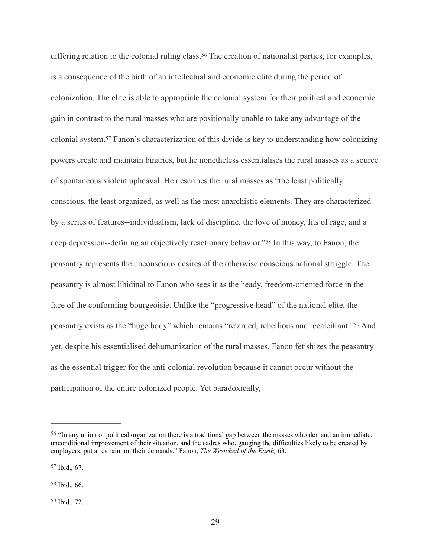<span id="page-32-6"></span><span id="page-32-5"></span><span id="page-32-4"></span>differing relation to the colonial ruling class[.](#page-32-0)<sup>[56](#page-32-0)</sup> The creation of nationalist parties, for examples, is a consequence of the birth of an intellectual and economic elite during the period of colonization. The elite is able to appropriate the colonial system for their political and economic gain in contrast to the rural masses who are positionally unable to take any advantage of the colonialsystem.<sup>[57](#page-32-1)</sup> Fanon's characterization of this divide is key to understanding how colonizing powers create and maintain binaries, but he nonetheless essentialises the rural masses as a source of spontaneous violent upheaval. He describes the rural masses as "the least politically conscious, the least organized, as well as the most anarchistic elements. They are characterized by a series of features--individualism, lack of discipline, the love of money, fits of rage, and a deep depression--defining an objectively reactionary behavior.["](#page-32-2)<sup>[58](#page-32-2)</sup> In this way, to Fanon, the peasantry represents the unconscious desires of the otherwise conscious national struggle. The peasantry is almost libidinal to Fanon who sees it as the heady, freedom-oriented force in the face of the conforming bourgeoisie. Unlike the "progressive head" of the national elite, the peasantryexists as the "huge body" which remains "retarded, rebellious and recalcitrant."<sup>[59](#page-32-3)</sup> And yet, despite his essentialised dehumanization of the rural masses, Fanon fetishizes the peasantry as the essential trigger for the anti-colonial revolution because it cannot occur without the participation of the entire colonized people. Yet paradoxically,

<span id="page-32-7"></span><span id="page-32-0"></span><sup>&</sup>lt;sup>[56](#page-32-4)</sup> "In any union or political organization there is a traditional gap between the masses who demand an immediate, unconditional improvement of their situation, and the cadres who, gauging the difficulties likely to be created by employers, put a restraint on their demands." Fanon, *The Wretched of the Earth,* 63.

<span id="page-32-1"></span> $57$  Ibid., 67.

<span id="page-32-2"></span> $58$  Ibid., 66.

<span id="page-32-3"></span>[<sup>59</sup>](#page-32-7) Ibid., 72.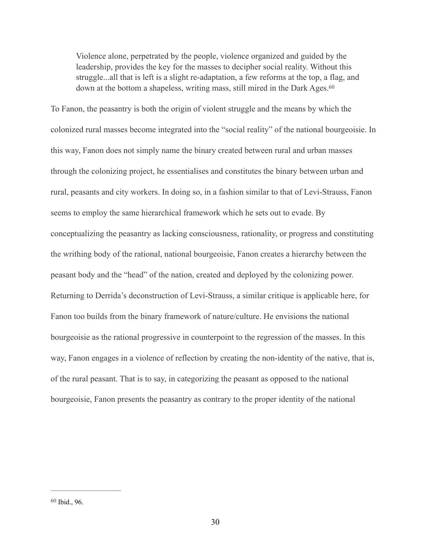<span id="page-33-1"></span>Violence alone, perpetrated by the people, violence organized and guided by the leadership, provides the key for the masses to decipher social reality. Without this struggle...all that is left is a slight re-adaptation, a few reforms at the top, a flag, and down at the bottom a shapeless, writing mass, still mired in the Dark Ages.<sup>60</sup>

To Fanon, the peasantry is both the origin of violent struggle and the means by which the colonized rural masses become integrated into the "social reality" of the national bourgeoisie. In this way, Fanon does not simply name the binary created between rural and urban masses through the colonizing project, he essentialises and constitutes the binary between urban and rural, peasants and city workers. In doing so, in a fashion similar to that of Levi-Strauss, Fanon seems to employ the same hierarchical framework which he sets out to evade. By conceptualizing the peasantry as lacking consciousness, rationality, or progress and constituting the writhing body of the rational, national bourgeoisie, Fanon creates a hierarchy between the peasant body and the "head" of the nation, created and deployed by the colonizing power. Returning to Derrida's deconstruction of Levi-Strauss, a similar critique is applicable here, for Fanon too builds from the binary framework of nature/culture. He envisions the national bourgeoisie as the rational progressive in counterpoint to the regression of the masses. In this way, Fanon engages in a violence of reflection by creating the non-identity of the native, that is, of the rural peasant. That is to say, in categorizing the peasant as opposed to the national bourgeoisie, Fanon presents the peasantry as contrary to the proper identity of the national

<span id="page-33-0"></span> $60$  Ibid., 96.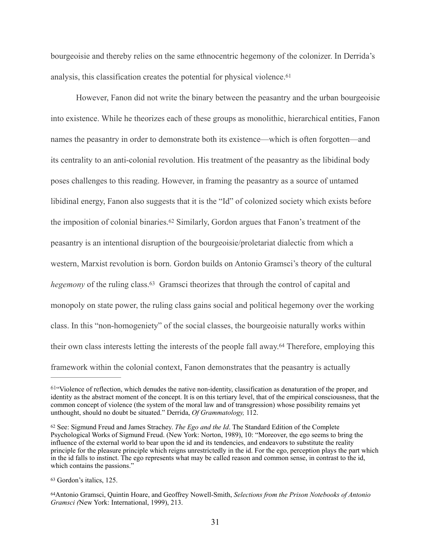<span id="page-34-4"></span>bourgeoisie and thereby relies on the same ethnocentric hegemony of the colonizer. In Derrida's analysis, this classification creates the potential for physical violence. [61](#page-34-0)

<span id="page-34-5"></span> However, Fanon did not write the binary between the peasantry and the urban bourgeoisie into existence. While he theorizes each of these groups as monolithic, hierarchical entities, Fanon names the peasantry in order to demonstrate both its existence—which is often forgotten—and its centrality to an anti-colonial revolution. His treatment of the peasantry as the libidinal body poses challenges to this reading. However, in framing the peasantry as a source of untamed libidinal energy, Fanon also suggests that it is the "Id" of colonized society which exists before theimposition of colonial binaries.<sup>[62](#page-34-1)</sup> Similarly, Gordon argues that Fanon's treatment of the peasantry is an intentional disruption of the bourgeoisie/proletariat dialectic from which a western, Marxist revolution is born. Gordon builds on Antonio Gramsci's theory of the cultural *hegemony* of the ruling class[.](#page-34-2)<sup>[63](#page-34-2)</sup> Gramsci theorizes that through the control of capital and monopoly on state power, the ruling class gains social and political hegemony over the working class. In this "non-homogeniety" of the social classes, the bourgeoisie naturally works within their own class interests letting the interests of the people fall away[.](#page-34-3)<sup>[64](#page-34-3)</sup> Therefore, employing this framework within the colonial context, Fanon demonstrates that the peasantry is actually

<span id="page-34-7"></span><span id="page-34-6"></span><span id="page-34-0"></span> $61\degree$  $61\degree$ Violence of reflection, which denudes the native non-identity, classification as denaturation of the proper, and identity as the abstract moment of the concept. It is on this tertiary level, that of the empirical consciousness, that the common concept of violence (the system of the moral law and of transgression) whose possibility remains yet unthought, should no doubt be situated." Derrida, *Of Grammatology,* 112.

<span id="page-34-1"></span><sup>&</sup>lt;sup>[62](#page-34-5)</sup> See: Sigmund Freud and James Strachey. *The Ego and the Id*. The Standard Edition of the Complete Psychological Works of Sigmund Freud. (New York: Norton, 1989), 10: "Moreover, the ego seems to bring the influence of the external world to bear upon the id and its tendencies, and endeavors to substitute the reality principle for the pleasure principle which reigns unrestrictedly in the id. For the ego, perception plays the part which in the id falls to instinct. The ego represents what may be called reason and common sense, in contrast to the id, which contains the passions."

<span id="page-34-2"></span>[<sup>63</sup>](#page-34-6) Gordon's italics, 125.

<span id="page-34-3"></span>Antonio Gramsci, Quintin Hoare, and Geoffrey Nowell-Smith, *Selections from the Prison Notebooks of Antonio* [64](#page-34-7) *Gramsci (*New York: International, 1999), 213.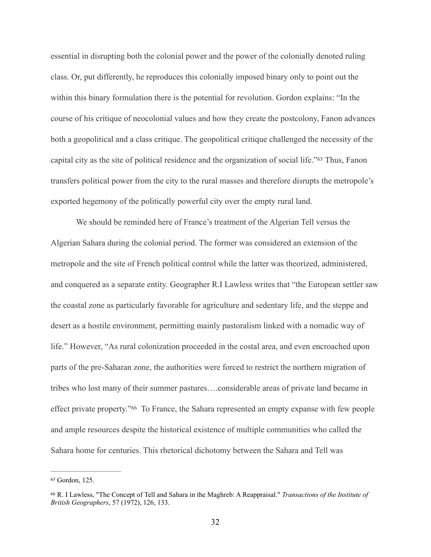essential in disrupting both the colonial power and the power of the colonially denoted ruling class. Or, put differently, he reproduces this colonially imposed binary only to point out the within this binary formulation there is the potential for revolution. Gordon explains: "In the course of his critique of neocolonial values and how they create the postcolony, Fanon advances both a geopolitical and a class critique. The geopolitical critique challenged the necessity of the capitalcity as the site of political residence and the organization of social life."<sup>[65](#page-35-0)</sup> Thus, Fanon transfers political power from the city to the rural masses and therefore disrupts the metropole's exported hegemony of the politically powerful city over the empty rural land.

<span id="page-35-2"></span> We should be reminded here of France's treatment of the Algerian Tell versus the Algerian Sahara during the colonial period. The former was considered an extension of the metropole and the site of French political control while the latter was theorized, administered, and conquered as a separate entity. Geographer R.I Lawless writes that "the European settler saw the coastal zone as particularly favorable for agriculture and sedentary life, and the steppe and desert as a hostile environment, permitting mainly pastoralism linked with a nomadic way of life." However, "As rural colonization proceeded in the costal area, and even encroached upon parts of the pre-Saharan zone, the authorities were forced to restrict the northern migration of tribes who lost many of their summer pastures….considerable areas of private land became in effectprivate property."<sup>[66](#page-35-1)</sup> To France, the Sahara represented an empty expanse with few people and ample resources despite the historical existence of multiple communities who called the Sahara home for centuries. This rhetorical dichotomy between the Sahara and Tell was

<span id="page-35-3"></span><span id="page-35-0"></span>[<sup>65</sup>](#page-35-2) Gordon, 125.

<span id="page-35-1"></span>R. I Lawless, "The Concept of Tell and Sahara in the Maghreb: A Reappraisal." *Transactions of the Institute of* [66](#page-35-3) *British Geographers*, 57 (1972), 126, 133.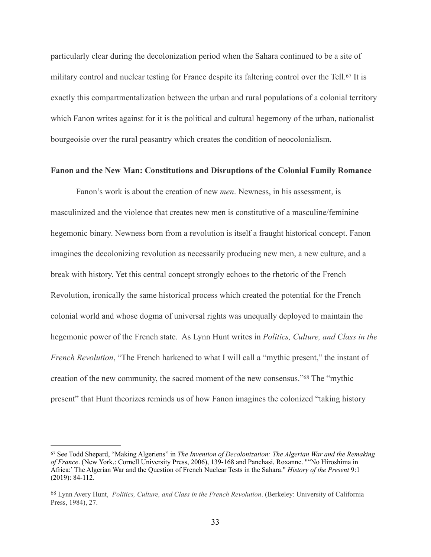<span id="page-36-2"></span>particularly clear during the decolonization period when the Sahara continued to be a site of military control and nuclear testing for France despite its faltering control over the Tell[.](#page-36-0)<sup>[67](#page-36-0)</sup> It is exactly this compartmentalization between the urban and rural populations of a colonial territory which Fanon writes against for it is the political and cultural hegemony of the urban, nationalist bourgeoisie over the rural peasantry which creates the condition of neocolonialism.

## **Fanon and the New Man: Constitutions and Disruptions of the Colonial Family Romance**

 Fanon's work is about the creation of new *men*. Newness, in his assessment, is masculinized and the violence that creates new men is constitutive of a masculine/feminine hegemonic binary. Newness born from a revolution is itself a fraught historical concept. Fanon imagines the decolonizing revolution as necessarily producing new men, a new culture, and a break with history. Yet this central concept strongly echoes to the rhetoric of the French Revolution, ironically the same historical process which created the potential for the French colonial world and whose dogma of universal rights was unequally deployed to maintain the hegemonic power of the French state. As Lynn Hunt writes in *Politics, Culture, and Class in the French Revolution*, "The French harkened to what I will call a "mythic present," the instant of creation of the new community, the sacred moment of the new consensus.["](#page-36-1)<sup>[68](#page-36-1)</sup> The "mythic present" that Hunt theorizes reminds us of how Fanon imagines the colonized "taking history

<span id="page-36-3"></span><span id="page-36-0"></span>See Todd Shepard, "Making Algeriens" in *The Invention of Decolonization: The Algerian War and the Remaking* [67](#page-36-2) *of France*. (New York.: Cornell University Press, 2006), 139-168 and Panchasi, Roxanne. ""No Hiroshima in Africa:' The Algerian War and the Question of French Nuclear Tests in the Sahara." *History of the Present* 9:1 (2019): 84-112.

<span id="page-36-1"></span>Lynn Avery Hunt, *Politics, Culture, and Class in the French Revolution*. (Berkeley: University of California [68](#page-36-3) Press, 1984), 27.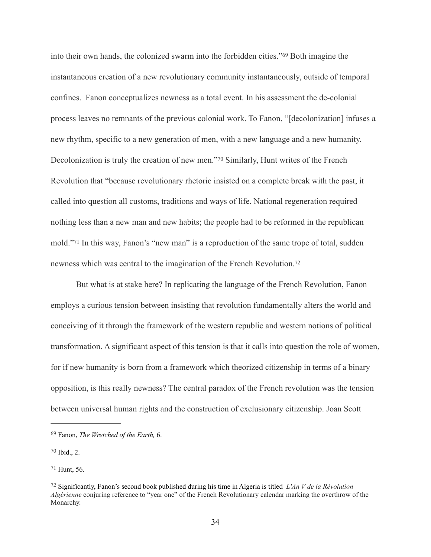<span id="page-37-5"></span><span id="page-37-4"></span>into their own hands, the colonized swarm into the forbidden cities.["](#page-37-0) $69$  Both imagine the instantaneous creation of a new revolutionary community instantaneously, outside of temporal confines. Fanon conceptualizes newness as a total event. In his assessment the de-colonial process leaves no remnants of the previous colonial work. To Fanon, "[decolonization] infuses a new rhythm, specific to a new generation of men, with a new language and a new humanity. Decolonization is truly the creation of new men.["](#page-37-1)<sup>[70](#page-37-1)</sup> Similarly, Hunt writes of the French Revolution that "because revolutionary rhetoric insisted on a complete break with the past, it called into question all customs, traditions and ways of life. National regeneration required nothing less than a new man and new habits; the people had to be reformed in the republican mold."<sup>71</sup>In this way, Fanon's "new man" is a reproduction of the same trope of total, sudden newness which was central to the imagination of the French Revolution. [72](#page-37-3)

<span id="page-37-7"></span><span id="page-37-6"></span> But what is at stake here? In replicating the language of the French Revolution, Fanon employs a curious tension between insisting that revolution fundamentally alters the world and conceiving of it through the framework of the western republic and western notions of political transformation. A significant aspect of this tension is that it calls into question the role of women, for if new humanity is born from a framework which theorized citizenship in terms of a binary opposition, is this really newness? The central paradox of the French revolution was the tension between universal human rights and the construction of exclusionary citizenship. Joan Scott

<span id="page-37-1"></span> $70$  Ibid., 2.

<span id="page-37-2"></span> $71$  Hunt, 56.

<span id="page-37-0"></span><sup>&</sup>lt;sup>[69](#page-37-4)</sup> Fanon, *The Wretched of the Earth*, 6.

<span id="page-37-3"></span>Significantly, Fanon's second book published during his time in Algeria is titled *L'An V de la Révolution* [72](#page-37-7) *Algérienne* conjuring reference to "year one" of the French Revolutionary calendar marking the overthrow of the Monarchy.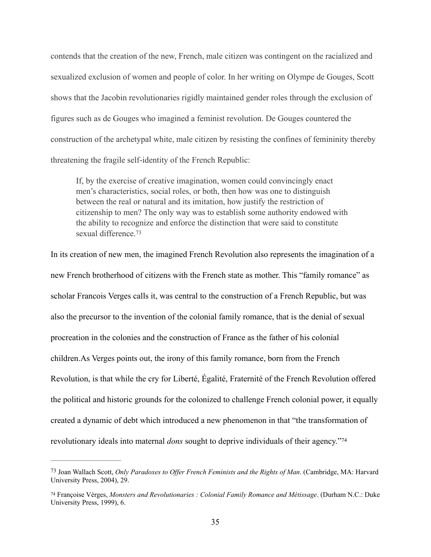contends that the creation of the new, French, male citizen was contingent on the racialized and sexualized exclusion of women and people of color. In her writing on Olympe de Gouges, Scott shows that the Jacobin revolutionaries rigidly maintained gender roles through the exclusion of figures such as de Gouges who imagined a feminist revolution. De Gouges countered the construction of the archetypal white, male citizen by resisting the confines of femininity thereby threatening the fragile self-identity of the French Republic:

<span id="page-38-2"></span>If, by the exercise of creative imagination, women could convincingly enact men's characteristics, social roles, or both, then how was one to distinguish between the real or natural and its imitation, how justify the restriction of citizenship to men? The only way was to establish some authority endowed with the ability to recognize and enforce the distinction that were said to constitute sexual difference<sup>[73](#page-38-0)</sup>

In its creation of new men, the imagined French Revolution also represents the imagination of a new French brotherhood of citizens with the French state as mother. This "family romance" as scholar Francois Verges calls it, was central to the construction of a French Republic, but was also the precursor to the invention of the colonial family romance, that is the denial of sexual procreation in the colonies and the construction of France as the father of his colonial children.As Verges points out, the irony of this family romance, born from the French Revolution, is that while the cry for Liberté, Égalité, Fraternité of the French Revolution offered the political and historic grounds for the colonized to challenge French colonial power, it equally created a dynamic of debt which introduced a new phenomenon in that "the transformation of revolutionary ideals into maternal *dons* sought to deprive individuals of their agency.["74](#page-38-1)

<span id="page-38-3"></span><span id="page-38-0"></span>Joan Wallach Scott, *Only Paradoxes to Offer French Feminists and the Rights of Man*. (Cambridge, MA: Harvard [73](#page-38-2) University Press, 2004), 29.

<span id="page-38-1"></span>Françoise Vérges, *Monsters and Revolutionaries : Colonial Family Romance and Métissage*. (Durham N.C.: Duke [74](#page-38-3) University Press, 1999), 6.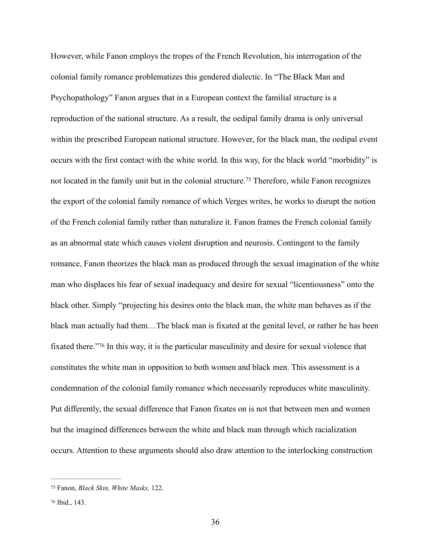<span id="page-39-2"></span>However, while Fanon employs the tropes of the French Revolution, his interrogation of the colonial family romance problematizes this gendered dialectic. In "The Black Man and Psychopathology" Fanon argues that in a European context the familial structure is a reproduction of the national structure. As a result, the oedipal family drama is only universal within the prescribed European national structure. However, for the black man, the oedipal event occurs with the first contact with the white world. In this way, for the black world "morbidity" is notlocated in the family unit but in the colonial structure.<sup>[75](#page-39-0)</sup> Therefore, while Fanon recognizes the export of the colonial family romance of which Verges writes, he works to disrupt the notion of the French colonial family rather than naturalize it. Fanon frames the French colonial family as an abnormal state which causes violent disruption and neurosis. Contingent to the family romance, Fanon theorizes the black man as produced through the sexual imagination of the white man who displaces his fear of sexual inadequacy and desire for sexual "licentiousness" onto the black other. Simply "projecting his desires onto the black man, the white man behaves as if the black man actually had them…The black man is fixated at the genital level, or rather he has been fixatedthere."<sup>[76](#page-39-1)</sup> In this way, it is the particular masculinity and desire for sexual violence that constitutes the white man in opposition to both women and black men. This assessment is a condemnation of the colonial family romance which necessarily reproduces white masculinity. Put differently, the sexual difference that Fanon fixates on is not that between men and women but the imagined differences between the white and black man through which racialization occurs. Attention to these arguments should also draw attention to the interlocking construction

<span id="page-39-3"></span><span id="page-39-0"></span>Fanon, *Black Skin, White Masks,* 122. [75](#page-39-2)

<span id="page-39-1"></span>[<sup>76</sup>](#page-39-3) Ibid., 143.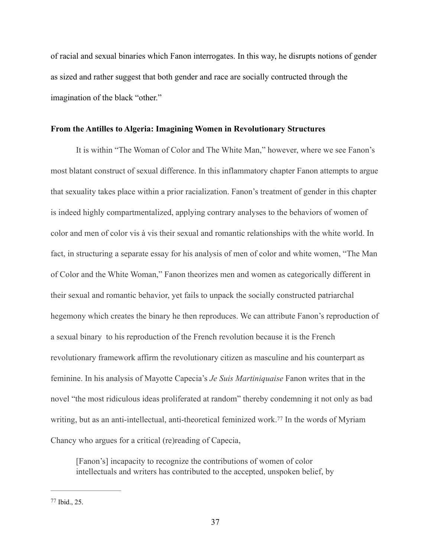of racial and sexual binaries which Fanon interrogates. In this way, he disrupts notions of gender as sized and rather suggest that both gender and race are socially contructed through the imagination of the black "other."

# **From the Antilles to Algeria: Imagining Women in Revolutionary Structures**

It is within "The Woman of Color and The White Man," however, where we see Fanon's most blatant construct of sexual difference. In this inflammatory chapter Fanon attempts to argue that sexuality takes place within a prior racialization. Fanon's treatment of gender in this chapter is indeed highly compartmentalized, applying contrary analyses to the behaviors of women of color and men of color vis à vis their sexual and romantic relationships with the white world. In fact, in structuring a separate essay for his analysis of men of color and white women, "The Man of Color and the White Woman," Fanon theorizes men and women as categorically different in their sexual and romantic behavior, yet fails to unpack the socially constructed patriarchal hegemony which creates the binary he then reproduces. We can attribute Fanon's reproduction of a sexual binary to his reproduction of the French revolution because it is the French revolutionary framework affirm the revolutionary citizen as masculine and his counterpart as feminine. In his analysis of Mayotte Capecia's *Je Suis Martiniquaise* Fanon writes that in the novel "the most ridiculous ideas proliferated at random" thereby condemning it not only as bad writing,but as an anti-intellectual, anti-theoretical feminized work.<sup>[77](#page-40-0)</sup> In the words of Myriam Chancy who argues for a critical (re)reading of Capecia,

<span id="page-40-1"></span>[Fanon's] incapacity to recognize the contributions of women of color intellectuals and writers has contributed to the accepted, unspoken belief, by

<span id="page-40-0"></span> $77$  Ibid., 25.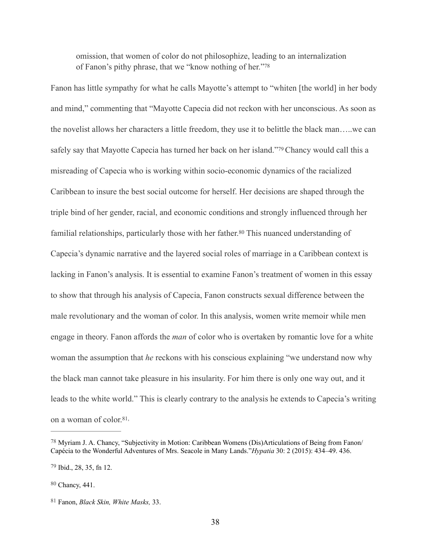<span id="page-41-5"></span><span id="page-41-4"></span>omission, that women of color do not philosophize, leading to an internalization of Fanon's pithy phrase, that we "know nothing of her."[78](#page-41-0)

<span id="page-41-6"></span>Fanon has little sympathy for what he calls Mayotte's attempt to "whiten [the world] in her body and mind," commenting that "Mayotte Capecia did not reckon with her unconscious. As soon as the novelist allows her characters a little freedom, they use it to belittle the black man…..we can safely say that Mayotte Capecia has turned her back on her island."<sup>[79](#page-41-1)</sup> Chancy would call this a misreading of Capecia who is working within socio-economic dynamics of the racialized Caribbean to insure the best social outcome for herself. Her decisions are shaped through the triple bind of her gender, racial, and economic conditions and strongly influenced through her familial relationships, particularly those with her father[.](#page-41-2)<sup>[80](#page-41-2)</sup> This nuanced understanding of Capecia's dynamic narrative and the layered social roles of marriage in a Caribbean context is lacking in Fanon's analysis. It is essential to examine Fanon's treatment of women in this essay to show that through his analysis of Capecia, Fanon constructs sexual difference between the male revolutionary and the woman of color. In this analysis, women write memoir while men engage in theory. Fanon affords the *man* of color who is overtaken by romantic love for a white woman the assumption that *he* reckons with his conscious explaining "we understand now why the black man cannot take pleasure in his insularity. For him there is only one way out, and it leads to the white world." This is clearly contrary to the analysis he extends to Capecia's writing on a woman of color.<sup>[81](#page-41-3),</sup>

<span id="page-41-7"></span><span id="page-41-0"></span><sup>&</sup>lt;sup>[78](#page-41-4)</sup> Myriam J. A. Chancy, "Subjectivity in Motion: Caribbean Womens (Dis)Articulations of Being from Fanon/ Capécia to the Wonderful Adventures of Mrs. Seacole in Many Lands."*Hypatia* 30: 2 (2015): 434–49. 436.

<span id="page-41-1"></span> $79$  Ibid., 28, 35, fn 12.

<span id="page-41-2"></span>[<sup>80</sup>](#page-41-6) Chancy, 441.

<span id="page-41-3"></span><sup>&</sup>lt;sup>[81](#page-41-7)</sup> Fanon, *Black Skin, White Masks*, 33.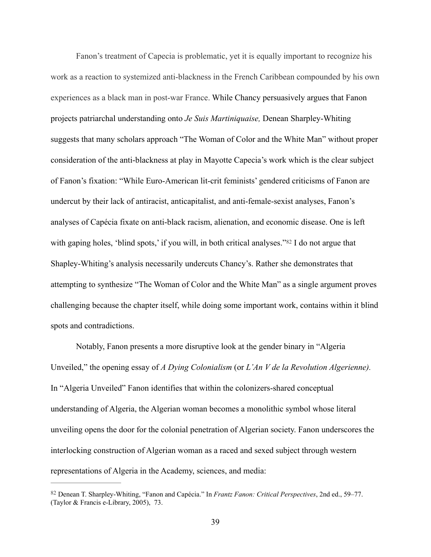Fanon's treatment of Capecia is problematic, yet it is equally important to recognize his work as a reaction to systemized anti-blackness in the French Caribbean compounded by his own experiences as a black man in post-war France. While Chancy persuasively argues that Fanon projects patriarchal understanding onto *Je Suis Martiniquaise,* Denean Sharpley-Whiting suggests that many scholars approach "The Woman of Color and the White Man" without proper consideration of the anti-blackness at play in Mayotte Capecia's work which is the clear subject of Fanon's fixation: "While Euro-American lit-crit feminists' gendered criticisms of Fanon are undercut by their lack of antiracist, anticapitalist, and anti-female-sexist analyses, Fanon's analyses of Capécia fixate on anti-black racism, alienation, and economic disease. One is left withgaping holes, 'blind spots,' if you will, in both critical analyses." $82$  I do not argue that Shapley-Whiting's analysis necessarily undercuts Chancy's. Rather she demonstrates that attempting to synthesize "The Woman of Color and the White Man" as a single argument proves challenging because the chapter itself, while doing some important work, contains within it blind spots and contradictions.

<span id="page-42-1"></span> Notably, Fanon presents a more disruptive look at the gender binary in "Algeria Unveiled," the opening essay of *A Dying Colonialism* (or *L'An V de la Revolution Algerienne).*  In "Algeria Unveiled" Fanon identifies that within the colonizers-shared conceptual understanding of Algeria, the Algerian woman becomes a monolithic symbol whose literal unveiling opens the door for the colonial penetration of Algerian society. Fanon underscores the interlocking construction of Algerian woman as a raced and sexed subject through western representations of Algeria in the Academy, sciences, and media:

<span id="page-42-0"></span>Denean T. Sharpley-Whiting, "Fanon and Capécia." In *Frantz Fanon: Critical Perspectives*, 2nd ed., 59–77. [82](#page-42-1) (Taylor & Francis e-Library, 2005), 73.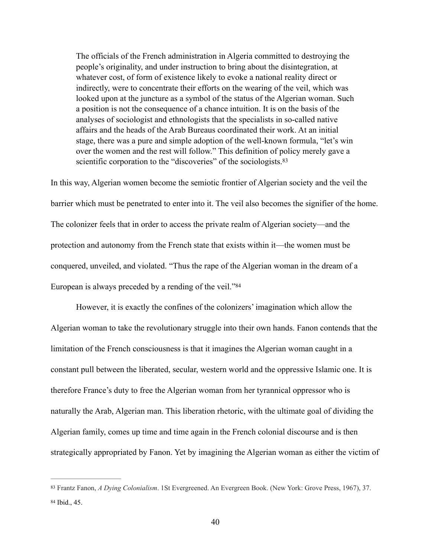<span id="page-43-2"></span>The officials of the French administration in Algeria committed to destroying the people's originality, and under instruction to bring about the disintegration, at whatever cost, of form of existence likely to evoke a national reality direct or indirectly, were to concentrate their efforts on the wearing of the veil, which was looked upon at the juncture as a symbol of the status of the Algerian woman. Such a position is not the consequence of a chance intuition. It is on the basis of the analyses of sociologist and ethnologists that the specialists in so-called native affairs and the heads of the Arab Bureaus coordinated their work. At an initial stage, there was a pure and simple adoption of the well-known formula, "let's win over the women and the rest will follow." This definition of policy merely gave a scientific corporation to the "discoveries" of the sociologists[.](#page-43-0)<sup>[83](#page-43-0)</sup>

In this way, Algerian women become the semiotic frontier of Algerian society and the veil the barrier which must be penetrated to enter into it. The veil also becomes the signifier of the home. The colonizer feels that in order to access the private realm of Algerian society—and the protection and autonomy from the French state that exists within it—the women must be conquered, unveiled, and violated. "Thus the rape of the Algerian woman in the dream of a European is always preceded by a rending of the veil."[84](#page-43-1)

<span id="page-43-3"></span> However, it is exactly the confines of the colonizers' imagination which allow the Algerian woman to take the revolutionary struggle into their own hands. Fanon contends that the limitation of the French consciousness is that it imagines the Algerian woman caught in a constant pull between the liberated, secular, western world and the oppressive Islamic one. It is therefore France's duty to free the Algerian woman from her tyrannical oppressor who is naturally the Arab, Algerian man. This liberation rhetoric, with the ultimate goal of dividing the Algerian family, comes up time and time again in the French colonial discourse and is then strategically appropriated by Fanon. Yet by imagining the Algerian woman as either the victim of

<span id="page-43-1"></span><span id="page-43-0"></span>[<sup>83</sup>](#page-43-2) Frantz Fanon, *A Dying Colonialism*. 1St Evergreened. An Evergreen Book. (New York: Grove Press, 1967), 37. [84](#page-43-3) Ibid., 45.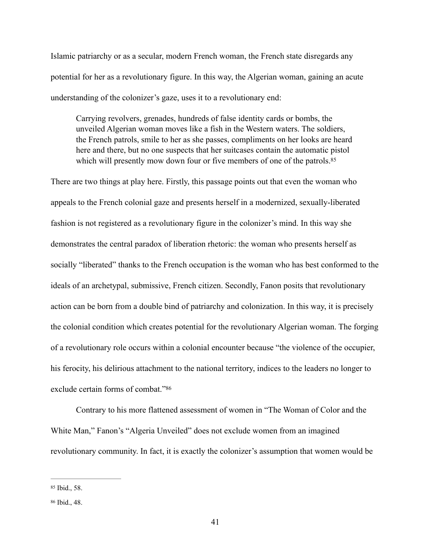Islamic patriarchy or as a secular, modern French woman, the French state disregards any potential for her as a revolutionary figure. In this way, the Algerian woman, gaining an acute understanding of the colonizer's gaze, uses it to a revolutionary end:

<span id="page-44-2"></span>Carrying revolvers, grenades, hundreds of false identity cards or bombs, the unveiled Algerian woman moves like a fish in the Western waters. The soldiers, the French patrols, smile to her as she passes, compliments on her looks are heard here and there, but no one suspects that her suitcases contain the automatic pistol which will presently mow down four or five members of one of the patrols.<sup>85</sup>

There are two things at play here. Firstly, this passage points out that even the woman who appeals to the French colonial gaze and presents herself in a modernized, sexually-liberated fashion is not registered as a revolutionary figure in the colonizer's mind. In this way she demonstrates the central paradox of liberation rhetoric: the woman who presents herself as socially "liberated" thanks to the French occupation is the woman who has best conformed to the ideals of an archetypal, submissive, French citizen. Secondly, Fanon posits that revolutionary action can be born from a double bind of patriarchy and colonization. In this way, it is precisely the colonial condition which creates potential for the revolutionary Algerian woman. The forging of a revolutionary role occurs within a colonial encounter because "the violence of the occupier, his ferocity, his delirious attachment to the national territory, indices to the leaders no longer to exclude certain forms of combat."86

<span id="page-44-3"></span> Contrary to his more flattened assessment of women in "The Woman of Color and the White Man," Fanon's "Algeria Unveiled" does not exclude women from an imagined revolutionary community. In fact, it is exactly the colonizer's assumption that women would be

<span id="page-44-0"></span>[<sup>85</sup>](#page-44-2) Ibid., 58.

<span id="page-44-1"></span>[<sup>86</sup>](#page-44-3) Ibid., 48.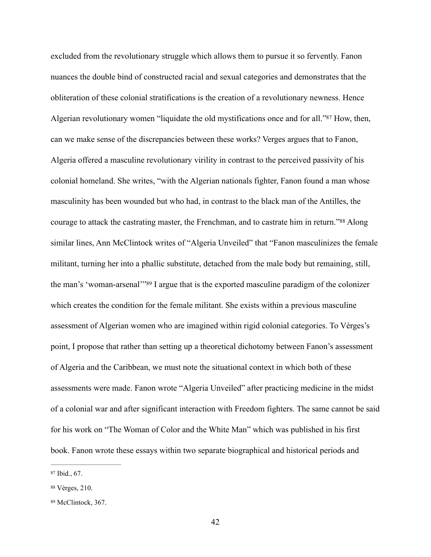<span id="page-45-4"></span><span id="page-45-3"></span>excluded from the revolutionary struggle which allows them to pursue it so fervently. Fanon nuances the double bind of constructed racial and sexual categories and demonstrates that the obliteration of these colonial stratifications is the creation of a revolutionary newness. Hence Algerianrevolutionary women "liquidate the old mystifications once and for all."<sup>[87](#page-45-0)</sup> How, then, can we make sense of the discrepancies between these works? Verges argues that to Fanon, Algeria offered a masculine revolutionary virility in contrast to the perceived passivity of his colonial homeland. She writes, "with the Algerian nationals fighter, Fanon found a man whose masculinity has been wounded but who had, in contrast to the black man of the Antilles, the courageto attack the castrating master, the Frenchman, and to castrate him in return."<sup>[88](#page-45-1)</sup> Along similar lines, Ann McClintock writes of "Algeria Unveiled" that "Fanon masculinizes the female militant, turning her into a phallic substitute, detached from the male body but remaining, still, theman's 'woman-arsenal'"<sup>[89](#page-45-2)</sup> I argue that is the exported masculine paradigm of the colonizer which creates the condition for the female militant. She exists within a previous masculine assessment of Algerian women who are imagined within rigid colonial categories. To Vèrges's point, I propose that rather than setting up a theoretical dichotomy between Fanon's assessment of Algeria and the Caribbean, we must note the situational context in which both of these assessments were made. Fanon wrote "Algeria Unveiled" after practicing medicine in the midst of a colonial war and after significant interaction with Freedom fighters. The same cannot be said for his work on "The Woman of Color and the White Man" which was published in his first book. Fanon wrote these essays within two separate biographical and historical periods and

<span id="page-45-5"></span><span id="page-45-0"></span> $87$  Ibid., 67.

<span id="page-45-1"></span>[<sup>88</sup>](#page-45-4) Vèrges, 210.

<span id="page-45-2"></span><sup>89</sup>McClintock, 367.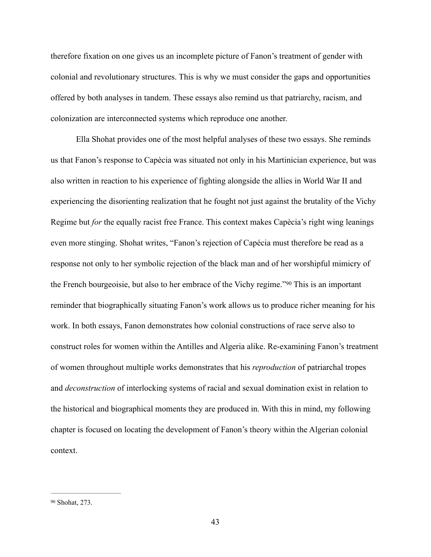therefore fixation on one gives us an incomplete picture of Fanon's treatment of gender with colonial and revolutionary structures. This is why we must consider the gaps and opportunities offered by both analyses in tandem. These essays also remind us that patriarchy, racism, and colonization are interconnected systems which reproduce one another.

<span id="page-46-1"></span> Ella Shohat provides one of the most helpful analyses of these two essays. She reminds us that Fanon's response to Capècia was situated not only in his Martinician experience, but was also written in reaction to his experience of fighting alongside the allies in World War II and experiencing the disorienting realization that he fought not just against the brutality of the Vichy Regime but *for* the equally racist free France. This context makes Capècia's right wing leanings even more stinging. Shohat writes, "Fanon's rejection of Capécia must therefore be read as a response not only to her symbolic rejection of the black man and of her worshipful mimicry of the French bourgeoisie, but also to her embrace of the Vichy regime.["](#page-46-0) <sup>[90](#page-46-0)</sup> This is an important reminder that biographically situating Fanon's work allows us to produce richer meaning for his work. In both essays, Fanon demonstrates how colonial constructions of race serve also to construct roles for women within the Antilles and Algeria alike. Re-examining Fanon's treatment of women throughout multiple works demonstrates that his *reproduction* of patriarchal tropes and *deconstruction* of interlocking systems of racial and sexual domination exist in relation to the historical and biographical moments they are produced in. With this in mind, my following chapter is focused on locating the development of Fanon's theory within the Algerian colonial context.

<span id="page-46-0"></span>[<sup>90</sup>](#page-46-1) Shohat, 273.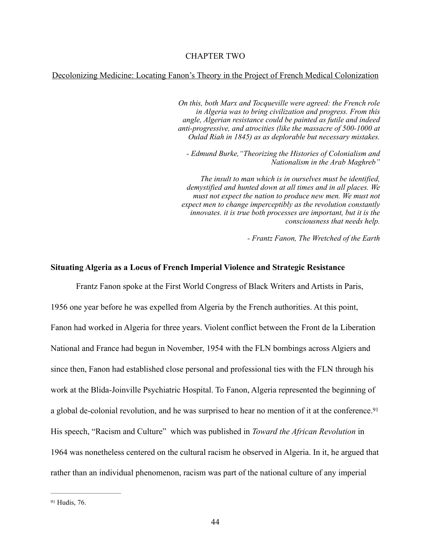### Decolonizing Medicine: Locating Fanon's Theory in the Project of French Medical Colonization

*On this, both Marx and Tocqueville were agreed: the French role in Algeria was to bring civilization and progress. From this angle, Algerian resistance could be painted as futile and indeed anti-progressive, and atrocities (like the massacre of 500-1000 at Oulad Riah in 1845) as as deplorable but necessary mistakes.* 

*- Edmund Burke,"Theorizing the Histories of Colonialism and Nationalism in the Arab Maghreb"*

*The insult to man which is in ourselves must be identified, demystified and hunted down at all times and in all places. We*  must not expect the nation to produce new men. We must not *expect men to change imperceptibly as the revolution constantly innovates. it is true both processes are important, but it is the consciousness that needs help.* 

<span id="page-47-1"></span>*- Frantz Fanon, The Wretched of the Earth* 

### **Situating Algeria as a Locus of French Imperial Violence and Strategic Resistance**

Frantz Fanon spoke at the First World Congress of Black Writers and Artists in Paris,

1956 one year before he was expelled from Algeria by the French authorities. At this point, Fanon had worked in Algeria for three years. Violent conflict between the Front de la Liberation National and France had begun in November, 1954 with the FLN bombings across Algiers and since then, Fanon had established close personal and professional ties with the FLN through his work at the Blida-Joinville Psychiatric Hospital. To Fanon, Algeria represented the beginning of a global de-colonial revolution, and he was surprised to hear no mention of it at the conference. [91](#page-47-0) His speech, "Racism and Culture" which was published in *Toward the African Revolution* in 1964 was nonetheless centered on the cultural racism he observed in Algeria. In it, he argued that rather than an individual phenomenon, racism was part of the national culture of any imperial

<span id="page-47-0"></span>[<sup>91</sup>](#page-47-1) Hudis, 76.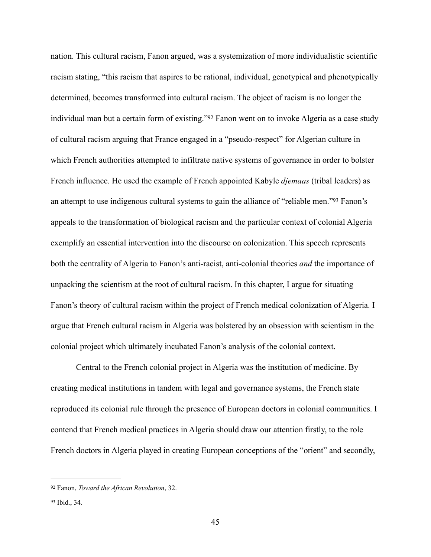<span id="page-48-3"></span><span id="page-48-2"></span>nation. This cultural racism, Fanon argued, was a systemization of more individualistic scientific racism stating, "this racism that aspires to be rational, individual, genotypical and phenotypically determined, becomes transformed into cultural racism. The object of racism is no longer the individual man but a certain form of existing.["](#page-48-0) [92](#page-48-0) Fanon went on to invoke Algeria as a case study of cultural racism arguing that France engaged in a "pseudo-respect" for Algerian culture in which French authorities attempted to infiltrate native systems of governance in order to bolster French influence. He used the example of French appointed Kabyle *djemaas* (tribal leaders) as an attempt to use indigenous cultural systems to gain the alliance of ["](#page-48-1)reliable men." <sup>[93](#page-48-1)</sup> Fanon's appeals to the transformation of biological racism and the particular context of colonial Algeria exemplify an essential intervention into the discourse on colonization. This speech represents both the centrality of Algeria to Fanon's anti-racist, anti-colonial theories *and* the importance of unpacking the scientism at the root of cultural racism. In this chapter, I argue for situating Fanon's theory of cultural racism within the project of French medical colonization of Algeria. I argue that French cultural racism in Algeria was bolstered by an obsession with scientism in the colonial project which ultimately incubated Fanon's analysis of the colonial context.

Central to the French colonial project in Algeria was the institution of medicine. By creating medical institutions in tandem with legal and governance systems, the French state reproduced its colonial rule through the presence of European doctors in colonial communities. I contend that French medical practices in Algeria should draw our attention firstly, to the role French doctors in Algeria played in creating European conceptions of the "orient" and secondly,

<span id="page-48-0"></span><sup>&</sup>lt;sup>[92](#page-48-2)</sup> Fanon, *Toward the African Revolution*, 32.

<span id="page-48-1"></span>[<sup>93</sup>](#page-48-3) Ibid., 34.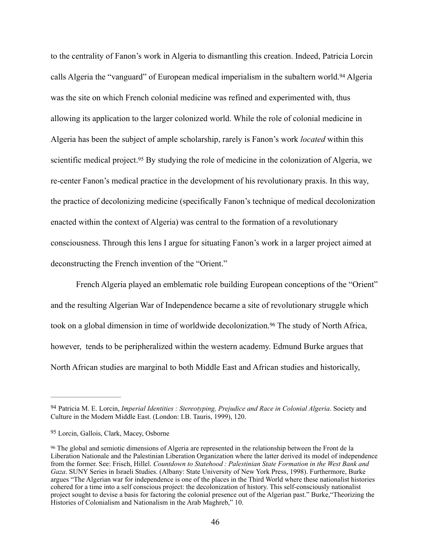<span id="page-49-4"></span><span id="page-49-3"></span>to the centrality of Fanon's work in Algeria to dismantling this creation. Indeed, Patricia Lorcin callsAlgeria the "vanguard" of European medical imperialism in the subaltern world.<sup>[94](#page-49-0)</sup> Algeria was the site on which French colonial medicine was refined and experimented with, thus allowing its application to the larger colonized world. While the role of colonial medicine in Algeria has been the subject of ample scholarship, rarely is Fanon's work *located* within this scientific medical project[.](#page-49-1)<sup>[95](#page-49-1)</sup> By studying the role of medicine in the colonization of Algeria, we re-center Fanon's medical practice in the development of his revolutionary praxis. In this way, the practice of decolonizing medicine (specifically Fanon's technique of medical decolonization enacted within the context of Algeria) was central to the formation of a revolutionary consciousness. Through this lens I argue for situating Fanon's work in a larger project aimed at deconstructing the French invention of the "Orient."

<span id="page-49-5"></span>French Algeria played an emblematic role building European conceptions of the "Orient" and the resulting Algerian War of Independence became a site of revolutionary struggle which took on a global dimension in time of worldwide decolonization[.](#page-49-2)<sup>[96](#page-49-2)</sup> The study of North Africa, however, tends to be peripheralized within the western academy. Edmund Burke argues that North African studies are marginal to both Middle East and African studies and historically,

<span id="page-49-0"></span><sup>&</sup>lt;sup>[94](#page-49-3)</sup> Patricia M. E. Lorcin, *Imperial Identities : Stereotyping, Prejudice and Race in Colonial Algeria*. Society and Culture in the Modern Middle East. (London: I.B. Tauris, 1999), 120.

<span id="page-49-1"></span>[<sup>95</sup>](#page-49-4) Lorcin, Gallois, Clark, Macey, Osborne

<span id="page-49-2"></span><sup>&</sup>lt;sup>96</sup>The global and semiotic dimensions of Algeria are represented in the relationship between the Front de la Liberation Nationale and the Palestinian Liberation Organization where the latter derived its model of independence from the former. See: Frisch, Hillel. *Countdown to Statehood : Palestinian State Formation in the West Bank and Gaza*. SUNY Series in Israeli Studies. (Albany: State University of New York Press, 1998). Furthermore, Burke argues "The Algerian war for independence is one of the places in the Third World where these nationalist histories cohered for a time into a self conscious project: the decolonization of history. This self-consciously nationalist project sought to devise a basis for factoring the colonial presence out of the Algerian past." Burke,"Theorizing the Histories of Colonialism and Nationalism in the Arab Maghreb," 10.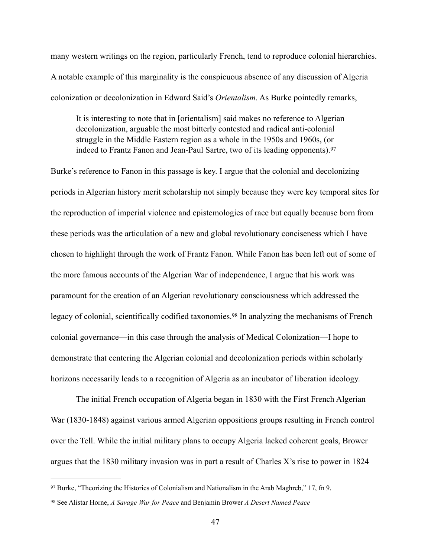many western writings on the region, particularly French, tend to reproduce colonial hierarchies. A notable example of this marginality is the conspicuous absence of any discussion of Algeria colonization or decolonization in Edward Said's *Orientalism*. As Burke pointedly remarks,

<span id="page-50-2"></span>It is interesting to note that in [orientalism] said makes no reference to Algerian decolonization, arguable the most bitterly contested and radical anti-colonial struggle in the Middle Eastern region as a whole in the 1950s and 1960s, (or indeed to Frantz Fanon and Jean-Paul Sartre, two of its leading opponents). [97](#page-50-0)

Burke's reference to Fanon in this passage is key. I argue that the colonial and decolonizing periods in Algerian history merit scholarship not simply because they were key temporal sites for the reproduction of imperial violence and epistemologies of race but equally because born from these periods was the articulation of a new and global revolutionary conciseness which I have chosen to highlight through the work of Frantz Fanon. While Fanon has been left out of some of the more famous accounts of the Algerian War of independence, I argue that his work was paramount for the creation of an Algerian revolutionary consciousness which addressed the legacyof colonial, scientifically codified taxonomies.<sup>[98](#page-50-1)</sup> In analyzing the mechanisms of French colonial governance—in this case through the analysis of Medical Colonization—I hope to demonstrate that centering the Algerian colonial and decolonization periods within scholarly horizons necessarily leads to a recognition of Algeria as an incubator of liberation ideology.

<span id="page-50-3"></span>The initial French occupation of Algeria began in 1830 with the First French Algerian War (1830-1848) against various armed Algerian oppositions groups resulting in French control over the Tell. While the initial military plans to occupy Algeria lacked coherent goals, Brower argues that the 1830 military invasion was in part a result of Charles X's rise to power in 1824

<span id="page-50-0"></span> $97$  Burke, "Theorizing the Histories of Colonialism and Nationalism in the Arab Maghreb," 17, fn 9.

<span id="page-50-1"></span>See Alistar Horne, *A Savage War for Peace* and Benjamin Brower *A Desert Named Peace* [98](#page-50-3)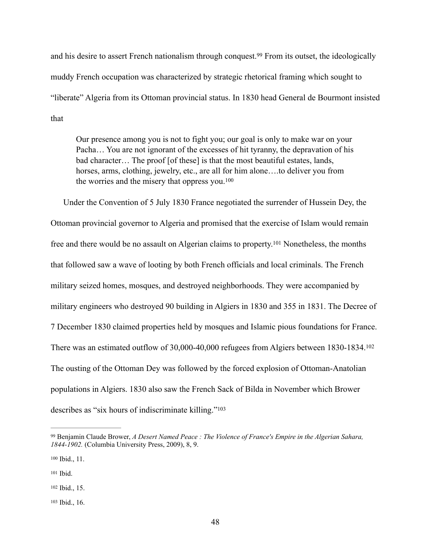andhis desire to assert French nationalism through conquest.<sup>[99](#page-51-0)</sup> From its outset, the ideologically muddy French occupation was characterized by strategic rhetorical framing which sought to "liberate" Algeria from its Ottoman provincial status. In 1830 head General de Bourmont insisted that

<span id="page-51-7"></span><span id="page-51-6"></span><span id="page-51-5"></span>Our presence among you is not to fight you; our goal is only to make war on your Pacha… You are not ignorant of the excesses of hit tyranny, the depravation of his bad character… The proof [of these] is that the most beautiful estates, lands, horses, arms, clothing, jewelry, etc., are all for him alone....to deliver you from the worries and the misery that oppress you.[100](#page-51-1)

Under the Convention of 5 July 1830 France negotiated the surrender of Hussein Dey, the Ottoman provincial governor to Algeria and promised that the exercise of Islam would remain freeand there would be no assault on Algerian claims to property.<sup>[101](#page-51-2)</sup> Nonetheless, the months that followed saw a wave of looting by both French officials and local criminals. The French military seized homes, mosques, and destroyed neighborhoods. They were accompanied by military engineers who destroyed 90 building in Algiers in 1830 and 355 in 1831. The Decree of 7 December 1830 claimed properties held by mosques and Islamic pious foundations for France. There was an estimated outflow of 30,000-40,000 refugees from Algiers between 1830-1834.[102](#page-51-3) The ousting of the Ottoman Dey was followed by the forced explosion of Ottoman-Anatolian populations in Algiers. 1830 also saw the French Sack of Bilda in November which Brower describes as "six hours of indiscriminate killing."<sup>103</sup>

<span id="page-51-9"></span><span id="page-51-8"></span><span id="page-51-0"></span>Benjamin Claude Brower, *A Desert Named Peace : The Violence of France's Empire in the Algerian Sahara,* [99](#page-51-5) *1844-1902.* (Columbia University Press, 2009), 8, 9.

<span id="page-51-1"></span>[<sup>100</sup>](#page-51-6) Ibid., 11.

<span id="page-51-2"></span>[<sup>101</sup>](#page-51-7) Ibid.

<span id="page-51-3"></span>[<sup>102</sup>](#page-51-8) Ibid., 15.

<span id="page-51-4"></span>[<sup>103</sup>](#page-51-9) Ibid., 16.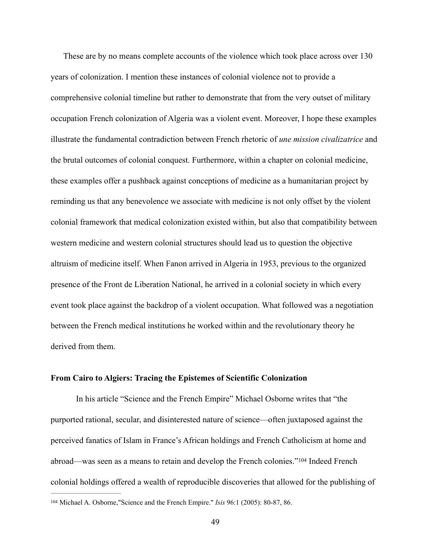These are by no means complete accounts of the violence which took place across over 130 years of colonization. I mention these instances of colonial violence not to provide a comprehensive colonial timeline but rather to demonstrate that from the very outset of military occupation French colonization of Algeria was a violent event. Moreover, I hope these examples illustrate the fundamental contradiction between French rhetoric of *une mission civalizatrice* and the brutal outcomes of colonial conquest. Furthermore, within a chapter on colonial medicine, these examples offer a pushback against conceptions of medicine as a humanitarian project by reminding us that any benevolence we associate with medicine is not only offset by the violent colonial framework that medical colonization existed within, but also that compatibility between western medicine and western colonial structures should lead us to question the objective altruism of medicine itself. When Fanon arrived in Algeria in 1953, previous to the organized presence of the Front de Liberation National, he arrived in a colonial society in which every event took place against the backdrop of a violent occupation. What followed was a negotiation between the French medical institutions he worked within and the revolutionary theory he derived from them.

# **From Cairo to Algiers: Tracing the Epistemes of Scientific Colonization**

In his article "Science and the French Empire" Michael Osborne writes that "the purported rational, secular, and disinterested nature of science—often juxtaposed against the perceived fanatics of Islam in France's African holdings and French Catholicism at home and abroad—wasseen as a means to retain and develop the French colonies."<sup>[104](#page-52-0)</sup> Indeed French colonial holdings offered a wealth of reproducible discoveries that allowed for the publishing of

<span id="page-52-1"></span><span id="page-52-0"></span><sup>&</sup>lt;sup>[104](#page-52-1)</sup> Michael A. Osborne,"Science and the French Empire." *Isis* 96:1 (2005): 80-87, 86.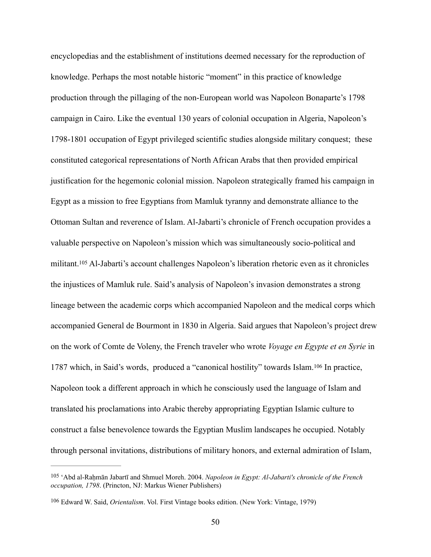<span id="page-53-2"></span>encyclopedias and the establishment of institutions deemed necessary for the reproduction of knowledge. Perhaps the most notable historic "moment" in this practice of knowledge production through the pillaging of the non-European world was Napoleon Bonaparte's 1798 campaign in Cairo. Like the eventual 130 years of colonial occupation in Algeria, Napoleon's 1798-1801 occupation of Egypt privileged scientific studies alongside military conquest; these constituted categorical representations of North African Arabs that then provided empirical justification for the hegemonic colonial mission. Napoleon strategically framed his campaign in Egypt as a mission to free Egyptians from Mamluk tyranny and demonstrate alliance to the Ottoman Sultan and reverence of Islam. Al-Jabarti's chronicle of French occupation provides a valuable perspective on Napoleon's mission which was simultaneously socio-political and militant[.](#page-53-0)  $105$  Al-Jabarti's account challenges Napoleon's liberation rhetoric even as it chronicles the injustices of Mamluk rule. Said's analysis of Napoleon's invasion demonstrates a strong lineage between the academic corps which accompanied Napoleon and the medical corps which accompanied General de Bourmont in 1830 in Algeria. Said argues that Napoleon's project drew on the work of Comte de Voleny, the French traveler who wrote *Voyage en Egypte et en Syrie* in 1787which, in Said's words, produced a "canonical hostility" towards Islam.<sup>[106](#page-53-1)</sup> In practice, Napoleon took a different approach in which he consciously used the language of Islam and translated his proclamations into Arabic thereby appropriating Egyptian Islamic culture to construct a false benevolence towards the Egyptian Muslim landscapes he occupied. Notably through personal invitations, distributions of military honors, and external admiration of Islam,

<span id="page-53-3"></span><span id="page-53-0"></span><sup>&</sup>lt;sup>[105](#page-53-2)</sup> 'Abd al-Rahmān Jabartī and Shmuel Moreh. 2004. *Napoleon in Egypt: Al-Jabarti's chronicle of the French occupation, 1798*. (Princton, NJ: Markus Wiener Publishers)

<span id="page-53-1"></span><sup>&</sup>lt;sup>[106](#page-53-3)</sup> Edward W. Said, *Orientalism*. Vol. First Vintage books edition. (New York: Vintage, 1979)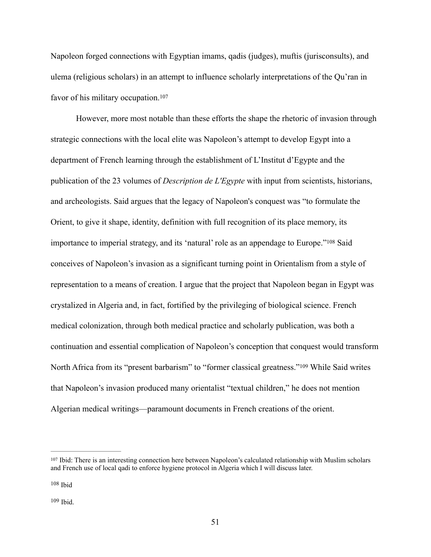Napoleon forged connections with Egyptian imams, qadis (judges), muftis (jurisconsults), and ulema (religious scholars) in an attempt to influence scholarly interpretations of the Qu'ran in favor of his military occupation.<sup>[107](#page-54-0)</sup>

<span id="page-54-4"></span><span id="page-54-3"></span>However, more most notable than these efforts the shape the rhetoric of invasion through strategic connections with the local elite was Napoleon's attempt to develop Egypt into a department of French learning through the establishment of L'Institut d'Egypte and the publication of the 23 volumes of *Description de L'Egypte* with input from scientists, historians, and archeologists. Said argues that the legacy of Napoleon's conquest was "to formulate the Orient, to give it shape, identity, definition with full recognition of its place memory, its importance to imperial strategy, and its 'natural' role as an appendage to Europe.["](#page-54-1)<sup>[108](#page-54-1)</sup> Said conceives of Napoleon's invasion as a significant turning point in Orientalism from a style of representation to a means of creation. I argue that the project that Napoleon began in Egypt was crystalized in Algeria and, in fact, fortified by the privileging of biological science. French medical colonization, through both medical practice and scholarly publication, was both a continuation and essential complication of Napoleon's conception that conquest would transform NorthAfrica from its "present barbarism" to "former classical greatness."<sup>[109](#page-54-2)</sup> While Said writes that Napoleon's invasion produced many orientalist "textual children," he does not mention Algerian medical writings—paramount documents in French creations of the orient.

<span id="page-54-5"></span><span id="page-54-0"></span><sup>&</sup>lt;sup>[107](#page-54-3)</sup> Ibid: There is an interesting connection here between Napoleon's calculated relationship with Muslim scholars and French use of local qadi to enforce hygiene protocol in Algeria which I will discuss later.

<span id="page-54-1"></span> $108$  Ibid

<span id="page-54-2"></span> $109$  Ibid.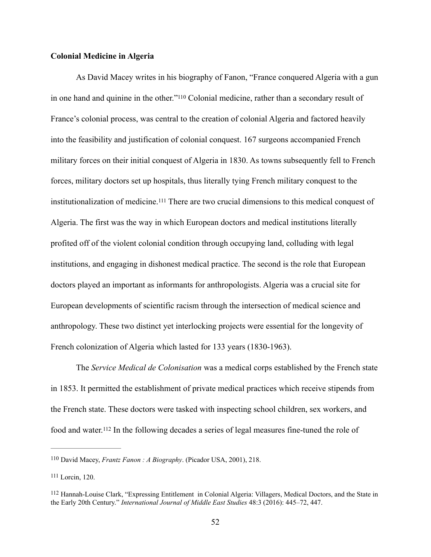# **Colonial Medicine in Algeria**

<span id="page-55-4"></span><span id="page-55-3"></span>As David Macey writes in his biography of Fanon, "France conquered Algeria with a gun in one hand and quinine in the other."<sup>[110](#page-55-0)</sup> Colonial medicine, rather than a secondary result of France's colonial process, was central to the creation of colonial Algeria and factored heavily into the feasibility and justification of colonial conquest. 167 surgeons accompanied French military forces on their initial conquest of Algeria in 1830. As towns subsequently fell to French forces, military doctors set up hospitals, thus literally tying French military conquest to the institutionalization of medicine.<sup>[111](#page-55-1)</sup> There are two crucial dimensions to this medical conquest of Algeria. The first was the way in which European doctors and medical institutions literally profited off of the violent colonial condition through occupying land, colluding with legal institutions, and engaging in dishonest medical practice. The second is the role that European doctors played an important as informants for anthropologists. Algeria was a crucial site for European developments of scientific racism through the intersection of medical science and anthropology. These two distinct yet interlocking projects were essential for the longevity of French colonization of Algeria which lasted for 133 years (1830-1963).

The *Service Medical de Colonisation* was a medical corps established by the French state in 1853. It permitted the establishment of private medical practices which receive stipends from the French state. These doctors were tasked with inspecting school children, sex workers, and food and water[.](#page-55-2)<sup>[112](#page-55-2)</sup> In the following decades a series of legal measures fine-tuned the role of

<span id="page-55-5"></span><span id="page-55-0"></span><sup>&</sup>lt;sup>[110](#page-55-3)</sup> David Macey, *Frantz Fanon : A Biography*. (Picador USA, 2001), 218.

<span id="page-55-1"></span><sup>&</sup>lt;sup>[111](#page-55-4)</sup> Lorcin, 120.

<span id="page-55-2"></span><sup>&</sup>lt;sup>112</sup>Hannah-Louise Clark, "Expressing Entitlement in Colonial Algeria: Villagers, Medical Doctors, and the State in the Early 20th Century." *International Journal of Middle East Studies* 48:3 (2016): 445–72, 447.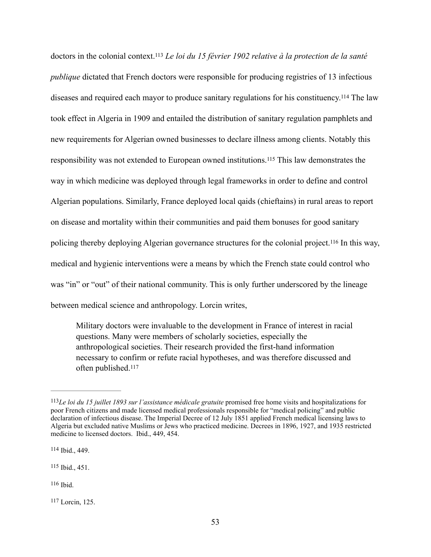<span id="page-56-7"></span><span id="page-56-6"></span><span id="page-56-5"></span>doctors in the colonial context.<sup>[113](#page-56-0)</sup> Le loi du 15 février 1902 relative à la protection de la santé *publique* dictated that French doctors were responsible for producing registries of 13 infectious diseases and required each mayor to produce sanitary regulations for his constituency[.](#page-56-1)<sup>[114](#page-56-1)</sup> The law took effect in Algeria in 1909 and entailed the distribution of sanitary regulation pamphlets and new requirements for Algerian owned businesses to declare illness among clients. Notably this responsibility was not extended to European owned institutions.<sup>[115](#page-56-2)</sup> This law demonstrates the way in which medicine was deployed through legal frameworks in order to define and control Algerian populations. Similarly, France deployed local qaids (chieftains) in rural areas to report on disease and mortality within their communities and paid them bonuses for good sanitary policing thereby deploying Algerian governance structures for the colonial project.<sup>[116](#page-56-3)</sup> In this way, medical and hygienic interventions were a means by which the French state could control who was "in" or "out" of their national community. This is only further underscored by the lineage between medical science and anthropology. Lorcin writes,

<span id="page-56-9"></span><span id="page-56-8"></span>Military doctors were invaluable to the development in France of interest in racial questions. Many were members of scholarly societies, especially the anthropological societies. Their research provided the first-hand information necessary to confirm or refute racial hypotheses, and was therefore discussed and often published[.117](#page-56-4)

<span id="page-56-0"></span>*Le loi du 15 juillet 1893 sur l'assistance médicale gratuite* promised free home visits and hospitalizations for [113](#page-56-5) poor French citizens and made licensed medical professionals responsible for "medical policing" and public declaration of infectious disease. The Imperial Decree of 12 July 1851 applied French medical licensing laws to Algeria but excluded native Muslims or Jews who practiced medicine. Decrees in 1896, 1927, and 1935 restricted medicine to licensed doctors. Ibid., 449, 454.

<span id="page-56-1"></span>[<sup>114</sup>](#page-56-6) Ibid., 449.

<span id="page-56-2"></span> $115$  Ibid., 451.

<span id="page-56-3"></span> $116$  Ibid.

<span id="page-56-4"></span>Lorcin, 125. [117](#page-56-9)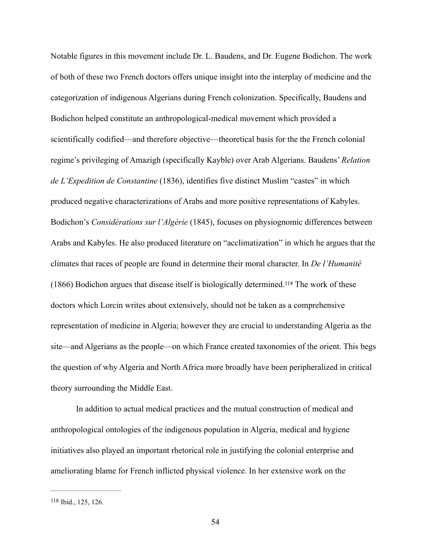Notable figures in this movement include Dr. L. Baudens, and Dr. Eugene Bodichon. The work of both of these two French doctors offers unique insight into the interplay of medicine and the categorization of indigenous Algerians during French colonization. Specifically, Baudens and Bodichon helped constitute an anthropological-medical movement which provided a scientifically codified—and therefore objective—theoretical basis for the the French colonial regime's privileging of Amazigh (specifically Kayble) over Arab Algerians. Baudens' *Relation de L'Expedition de Constantine* (1836), identifies five distinct Muslim "castes" in which produced negative characterizations of Arabs and more positive representations of Kabyles. Bodichon's *Considérations sur l'Algérie* (1845), focuses on physiognomic differences between Arabs and Kabyles. He also produced literature on "acclimatization" in which he argues that the climates that races of people are found in determine their moral character. In *De l'Humanité*   $(1866)$  Bodichon argues that disease itself is biologically determined.<sup>[118](#page-57-0)</sup> The work of these doctors which Lorcin writes about extensively, should not be taken as a comprehensive representation of medicine in Algeria; however they are crucial to understanding Algeria as the site—and Algerians as the people—on which France created taxonomies of the orient. This begs the question of why Algeria and North Africa more broadly have been peripheralized in critical theory surrounding the Middle East.

<span id="page-57-1"></span> In addition to actual medical practices and the mutual construction of medical and anthropological ontologies of the indigenous population in Algeria, medical and hygiene initiatives also played an important rhetorical role in justifying the colonial enterprise and ameliorating blame for French inflicted physical violence. In her extensive work on the

<span id="page-57-0"></span>[<sup>118</sup>](#page-57-1) Ibid., 125, 126.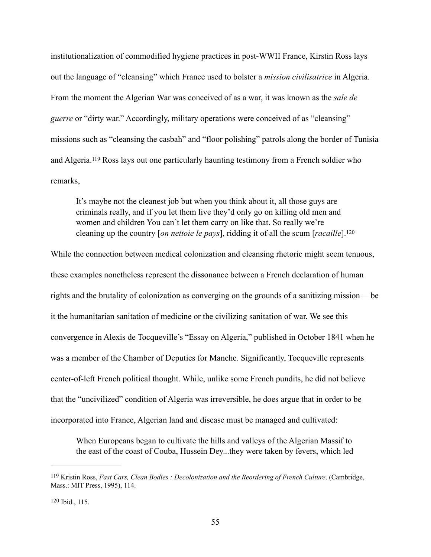institutionalization of commodified hygiene practices in post-WWII France, Kirstin Ross lays out the language of "cleansing" which France used to bolster a *mission civilisatrice* in Algeria. From the moment the Algerian War was conceived of as a war, it was known as the *sale de guerre* or "dirty war." Accordingly, military operations were conceived of as "cleansing" missions such as "cleansing the casbah" and "floor polishing" patrols along the border of Tunisia and Algeria.<sup>[119](#page-58-0)</sup> Ross lays out one particularly haunting testimony from a French soldier who remarks,

<span id="page-58-3"></span><span id="page-58-2"></span>It's maybe not the cleanest job but when you think about it, all those guys are criminals really, and if you let them live they'd only go on killing old men and women and children You can't let them carry on like that. So really we're cleaning up the country [*on nettoie le pays*], ridding it of all the scum [*racaille*].[120](#page-58-1)

While the connection between medical colonization and cleansing rhetoric might seem tenuous, these examples nonetheless represent the dissonance between a French declaration of human rights and the brutality of colonization as converging on the grounds of a sanitizing mission— be it the humanitarian sanitation of medicine or the civilizing sanitation of war. We see this convergence in Alexis de Tocqueville's "Essay on Algeria," published in October 1841 when he was a member of the Chamber of Deputies for Manche*.* Significantly, Tocqueville represents center-of-left French political thought. While, unlike some French pundits, he did not believe that the "uncivilized" condition of Algeria was irreversible, he does argue that in order to be incorporated into France, Algerian land and disease must be managed and cultivated:

When Europeans began to cultivate the hills and valleys of the Algerian Massif to the east of the coast of Couba, Hussein Dey...they were taken by fevers, which led

<span id="page-58-0"></span><sup>&</sup>lt;sup>[119](#page-58-2)</sup> Kristin Ross, *Fast Cars, Clean Bodies : Decolonization and the Reordering of French Culture*. (Cambridge, Mass.: MIT Press, 1995), 114.

<span id="page-58-1"></span>[<sup>120</sup>](#page-58-3) Ibid., 115.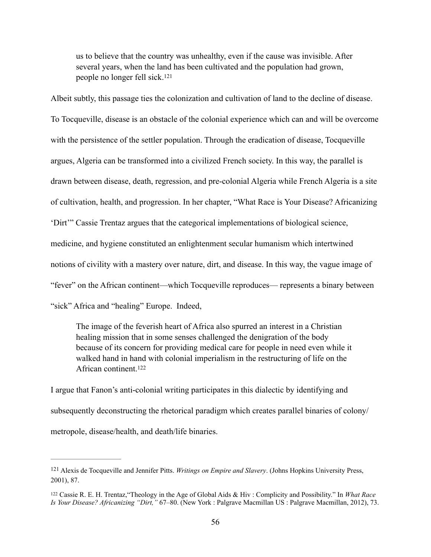<span id="page-59-2"></span>us to believe that the country was unhealthy, even if the cause was invisible. After several years, when the land has been cultivated and the population had grown, people no longer fell sick.[121](#page-59-0)

Albeit subtly, this passage ties the colonization and cultivation of land to the decline of disease. To Tocqueville, disease is an obstacle of the colonial experience which can and will be overcome with the persistence of the settler population. Through the eradication of disease, Tocqueville argues, Algeria can be transformed into a civilized French society. In this way, the parallel is drawn between disease, death, regression, and pre-colonial Algeria while French Algeria is a site of cultivation, health, and progression. In her chapter, "What Race is Your Disease? Africanizing 'Dirt'" Cassie Trentaz argues that the categorical implementations of biological science, medicine, and hygiene constituted an enlightenment secular humanism which intertwined notions of civility with a mastery over nature, dirt, and disease. In this way, the vague image of "fever" on the African continent—which Tocqueville reproduces— represents a binary between "sick" Africa and "healing" Europe. Indeed,

<span id="page-59-3"></span>The image of the feverish heart of Africa also spurred an interest in a Christian healing mission that in some senses challenged the denigration of the body because of its concern for providing medical care for people in need even while it walked hand in hand with colonial imperialism in the restructuring of life on the African continent[.122](#page-59-1)

I argue that Fanon's anti-colonial writing participates in this dialectic by identifying and subsequently deconstructing the rhetorical paradigm which creates parallel binaries of colony/ metropole, disease/health, and death/life binaries.

<span id="page-59-0"></span><sup>&</sup>lt;sup>[121](#page-59-2)</sup> Alexis de Tocqueville and Jennifer Pitts. *Writings on Empire and Slavery*. (Johns Hopkins University Press, 2001), 87.

<span id="page-59-1"></span><sup>&</sup>lt;sup>[122](#page-59-3)</sup> Cassie R. E. H. Trentaz, "Theology in the Age of Global Aids & Hiv : Complicity and Possibility." In *What Race Is Your Disease? Africanizing "Dirt,"* 67–80. (New York : Palgrave Macmillan US : Palgrave Macmillan, 2012), 73.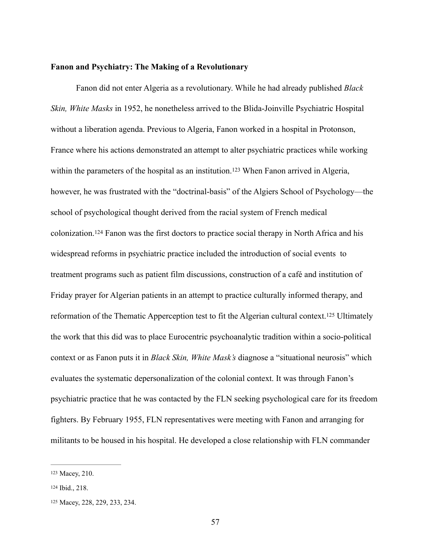# **Fanon and Psychiatry: The Making of a Revolutionary**

<span id="page-60-4"></span><span id="page-60-3"></span>Fanon did not enter Algeria as a revolutionary. While he had already published *Black Skin, White Masks* in 1952, he nonetheless arrived to the Blida-Joinville Psychiatric Hospital without a liberation agenda. Previous to Algeria, Fanon worked in a hospital in Protonson, France where his actions demonstrated an attempt to alter psychiatric practices while working withinthe parameters of the hospital as an institution.<sup>[123](#page-60-0)</sup> When Fanon arrived in Algeria, however, he was frustrated with the "doctrinal-basis" of the Algiers School of Psychology—the school of psychological thought derived from the racial system of French medical colonization[.](#page-60-1)<sup>[124](#page-60-1)</sup> Fanon was the first doctors to practice social therapy in North Africa and his widespread reforms in psychiatric practice included the introduction of social events to treatment programs such as patient film discussions, construction of a café and institution of Friday prayer for Algerian patients in an attempt to practice culturally informed therapy, and reformationof the Thematic Apperception test to fit the Algerian cultural context.<sup>[125](#page-60-2)</sup> Ultimately the work that this did was to place Eurocentric psychoanalytic tradition within a socio-political context or as Fanon puts it in *Black Skin, White Mask's* diagnose a "situational neurosis" which evaluates the systematic depersonalization of the colonial context. It was through Fanon's psychiatric practice that he was contacted by the FLN seeking psychological care for its freedom fighters. By February 1955, FLN representatives were meeting with Fanon and arranging for militants to be housed in his hospital. He developed a close relationship with FLN commander

<span id="page-60-5"></span><span id="page-60-0"></span>[<sup>123</sup>](#page-60-3) Macey, 210.

<span id="page-60-1"></span>[<sup>124</sup>](#page-60-4) Ibid., 218.

<span id="page-60-2"></span>[<sup>125</sup>](#page-60-5) Macey, 228, 229, 233, 234.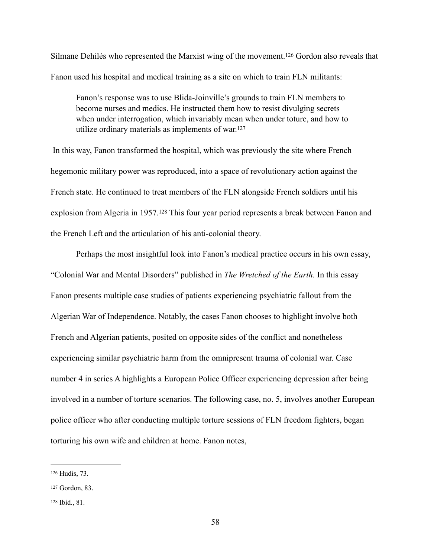Silmane Dehilés who represented the Marxist wing of the movement[.](#page-61-0)<sup>[126](#page-61-0)</sup> Gordon also reveals that Fanon used his hospital and medical training as a site on which to train FLN militants:

<span id="page-61-4"></span><span id="page-61-3"></span>Fanon's response was to use Blida-Joinville's grounds to train FLN members to become nurses and medics. He instructed them how to resist divulging secrets when under interrogation, which invariably mean when under toture, and how to utilize ordinary materials as implements of war.[127](#page-61-1)

 In this way, Fanon transformed the hospital, which was previously the site where French hegemonic military power was reproduced, into a space of revolutionary action against the French state. He continued to treat members of the FLN alongside French soldiers until his explosionfrom Algeria in 1957.<sup>[128](#page-61-2)</sup> This four year period represents a break between Fanon and the French Left and the articulation of his anti-colonial theory.

<span id="page-61-5"></span>Perhaps the most insightful look into Fanon's medical practice occurs in his own essay, "Colonial War and Mental Disorders" published in *The Wretched of the Earth.* In this essay Fanon presents multiple case studies of patients experiencing psychiatric fallout from the Algerian War of Independence. Notably, the cases Fanon chooses to highlight involve both French and Algerian patients, posited on opposite sides of the conflict and nonetheless experiencing similar psychiatric harm from the omnipresent trauma of colonial war. Case number 4 in series A highlights a European Police Officer experiencing depression after being involved in a number of torture scenarios. The following case, no. 5, involves another European police officer who after conducting multiple torture sessions of FLN freedom fighters, began torturing his own wife and children at home. Fanon notes,

<span id="page-61-0"></span>[<sup>126</sup>](#page-61-3) Hudis, 73.

<span id="page-61-1"></span>[<sup>127</sup>](#page-61-4) Gordon, 83.

<span id="page-61-2"></span>[<sup>128</sup>](#page-61-5) Ibid., 81.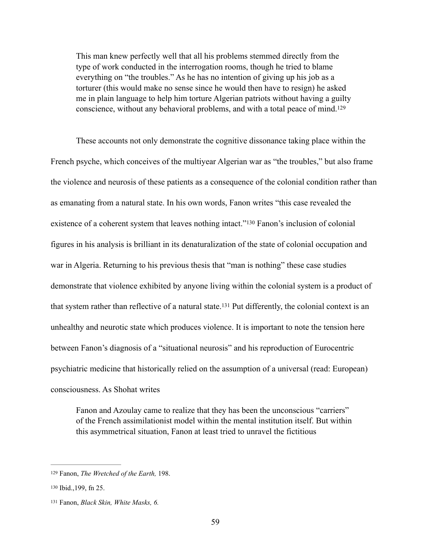<span id="page-62-3"></span>This man knew perfectly well that all his problems stemmed directly from the type of work conducted in the interrogation rooms, though he tried to blame everything on "the troubles." As he has no intention of giving up his job as a torturer (this would make no sense since he would then have to resign) he asked me in plain language to help him torture Algerian patriots without having a guilty conscience, without any behavioral problems, and with a total peace of mind[.](#page-62-0) [129](#page-62-0)

<span id="page-62-4"></span>These accounts not only demonstrate the cognitive dissonance taking place within the French psyche, which conceives of the multiyear Algerian war as "the troubles," but also frame the violence and neurosis of these patients as a consequence of the colonial condition rather than as emanating from a natural state. In his own words, Fanon writes "this case revealed the existence of a coherent system that leaves nothing intact.["](#page-62-1)<sup>[130](#page-62-1)</sup> Fanon's inclusion of colonial figures in his analysis is brilliant in its denaturalization of the state of colonial occupation and war in Algeria. Returning to his previous thesis that "man is nothing" these case studies demonstrate that violence exhibited by anyone living within the colonial system is a product of thatsystem rather than reflective of a natural state.<sup>[131](#page-62-2)</sup> Put differently, the colonial context is an unhealthy and neurotic state which produces violence. It is important to note the tension here between Fanon's diagnosis of a "situational neurosis" and his reproduction of Eurocentric psychiatric medicine that historically relied on the assumption of a universal (read: European) consciousness. As Shohat writes

<span id="page-62-5"></span>Fanon and Azoulay came to realize that they has been the unconscious "carriers" of the French assimilationist model within the mental institution itself. But within this asymmetrical situation, Fanon at least tried to unravel the fictitious

<span id="page-62-0"></span><sup>&</sup>lt;sup>[129](#page-62-3)</sup> Fanon, *The Wretched of the Earth*, 198.

<span id="page-62-1"></span>[<sup>130</sup>](#page-62-4) Ibid., 199, fn 25.

<span id="page-62-2"></span><sup>&</sup>lt;sup>[131](#page-62-5)</sup> Fanon, *Black Skin, White Masks, 6.*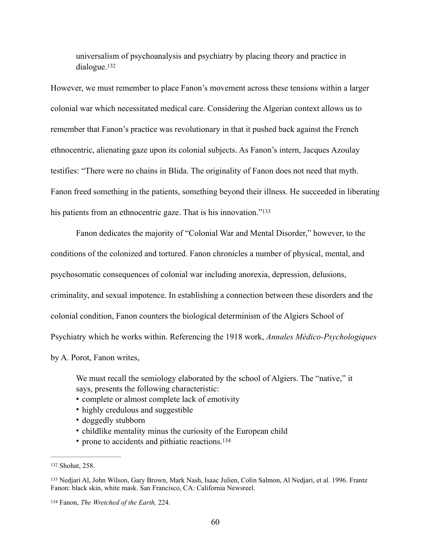<span id="page-63-3"></span>universalism of psychoanalysis and psychiatry by placing theory and practice in dialogue[.132](#page-63-0)

However, we must remember to place Fanon's movement across these tensions within a larger colonial war which necessitated medical care. Considering the Algerian context allows us to remember that Fanon's practice was revolutionary in that it pushed back against the French ethnocentric, alienating gaze upon its colonial subjects. As Fanon's intern, Jacques Azoulay testifies: "There were no chains in Blida. The originality of Fanon does not need that myth. Fanon freed something in the patients, something beyond their illness. He succeeded in liberating his patients from an ethnocentric gaze. That is his innovation."<sup>[133](#page-63-1)</sup>

<span id="page-63-4"></span>Fanon dedicates the majority of "Colonial War and Mental Disorder," however, to the conditions of the colonized and tortured. Fanon chronicles a number of physical, mental, and psychosomatic consequences of colonial war including anorexia, depression, delusions, criminality, and sexual impotence. In establishing a connection between these disorders and the colonial condition, Fanon counters the biological determinism of the Algiers School of Psychiatry which he works within. Referencing the 1918 work, *Annales Médico-Psychologiques*  by A. Porot, Fanon writes,

We must recall the semiology elaborated by the school of Algiers. The "native," it says, presents the following characteristic:

- complete or almost complete lack of emotivity
- highly credulous and suggestible
- doggedly stubborn
- childlike mentality minus the curiosity of the European child
- <span id="page-63-5"></span>• prone to accidents and pithiatic reactions.<sup>134</sup>

<span id="page-63-0"></span>[<sup>132</sup>](#page-63-3) Shohat, 258.

<span id="page-63-1"></span><sup>&</sup>lt;sup>[133](#page-63-4)</sup> Nedjari Al, John Wilson, Gary Brown, Mark Nash, Isaac Julien, Colin Salmon, Al Nedjari, et al. 1996. Frantz Fanon: black skin, white mask. San Francisco, CA: California Newsreel.

<span id="page-63-2"></span><sup>&</sup>lt;sup>[134](#page-63-5)</sup> Fanon, *The Wretched of the Earth*, 224.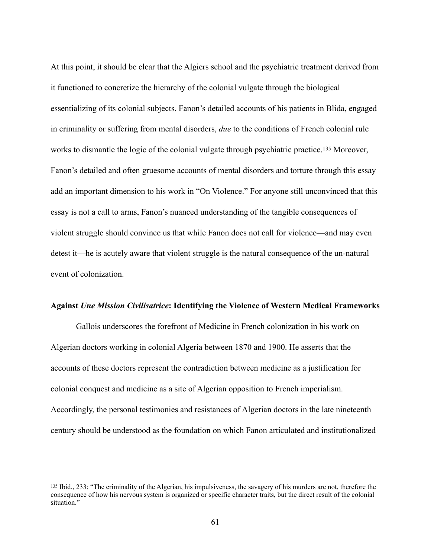<span id="page-64-1"></span>At this point, it should be clear that the Algiers school and the psychiatric treatment derived from it functioned to concretize the hierarchy of the colonial vulgate through the biological essentializing of its colonial subjects. Fanon's detailed accounts of his patients in Blida, engaged in criminality or suffering from mental disorders, *due* to the conditions of French colonial rule worksto dismantle the logic of the colonial vulgate through psychiatric practice.<sup>[135](#page-64-0)</sup> Moreover, Fanon's detailed and often gruesome accounts of mental disorders and torture through this essay add an important dimension to his work in "On Violence." For anyone still unconvinced that this essay is not a call to arms, Fanon's nuanced understanding of the tangible consequences of violent struggle should convince us that while Fanon does not call for violence—and may even detest it—he is acutely aware that violent struggle is the natural consequence of the un-natural event of colonization.

#### **Against** *Une Mission Civilisatrice***: Identifying the Violence of Western Medical Frameworks**

Gallois underscores the forefront of Medicine in French colonization in his work on Algerian doctors working in colonial Algeria between 1870 and 1900. He asserts that the accounts of these doctors represent the contradiction between medicine as a justification for colonial conquest and medicine as a site of Algerian opposition to French imperialism. Accordingly, the personal testimonies and resistances of Algerian doctors in the late nineteenth century should be understood as the foundation on which Fanon articulated and institutionalized

<span id="page-64-0"></span>[<sup>135</sup>](#page-64-1) Ibid., 233: "The criminality of the Algerian, his impulsiveness, the savagery of his murders are not, therefore the consequence of how his nervous system is organized or specific character traits, but the direct result of the colonial situation."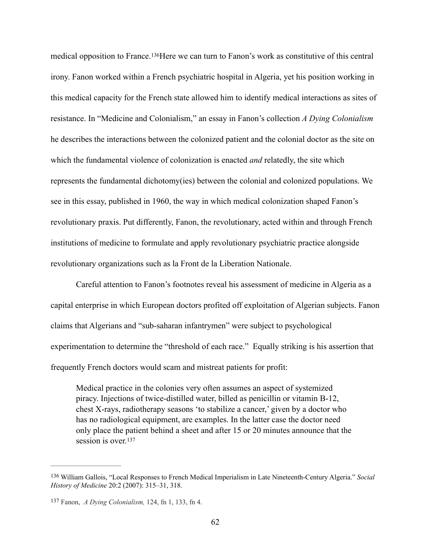<span id="page-65-2"></span>medical opposition to France.<sup>136</sup>[H](#page-65-0)ere we can turn to Fanon's work as constitutive of this central irony. Fanon worked within a French psychiatric hospital in Algeria, yet his position working in this medical capacity for the French state allowed him to identify medical interactions as sites of resistance. In "Medicine and Colonialism," an essay in Fanon's collection *A Dying Colonialism*  he describes the interactions between the colonized patient and the colonial doctor as the site on which the fundamental violence of colonization is enacted *and* relatedly, the site which represents the fundamental dichotomy(ies) between the colonial and colonized populations. We see in this essay, published in 1960, the way in which medical colonization shaped Fanon's revolutionary praxis. Put differently, Fanon, the revolutionary, acted within and through French institutions of medicine to formulate and apply revolutionary psychiatric practice alongside revolutionary organizations such as la Front de la Liberation Nationale.

Careful attention to Fanon's footnotes reveal his assessment of medicine in Algeria as a capital enterprise in which European doctors profited off exploitation of Algerian subjects. Fanon claims that Algerians and "sub-saharan infantrymen" were subject to psychological experimentation to determine the "threshold of each race." Equally striking is his assertion that frequently French doctors would scam and mistreat patients for profit:

<span id="page-65-3"></span>Medical practice in the colonies very often assumes an aspect of systemized piracy. Injections of twice-distilled water, billed as penicillin or vitamin B-12, chest X-rays, radiotherapy seasons 'to stabilize a cancer,' given by a doctor who has no radiological equipment, are examples. In the latter case the doctor need only place the patient behind a sheet and after 15 or 20 minutes announce that the session is over [137](#page-65-1)

<span id="page-65-0"></span>William Gallois, "Local Responses to French Medical Imperialism in Late Nineteenth-Century Algeria." *Social* [136](#page-65-2) *History of Medicine* 20:2 (2007): 315–31, 318.

<span id="page-65-1"></span><sup>&</sup>lt;sup>[137](#page-65-3)</sup> Fanon, *A Dying Colonialism*, 124, fn 1, 133, fn 4.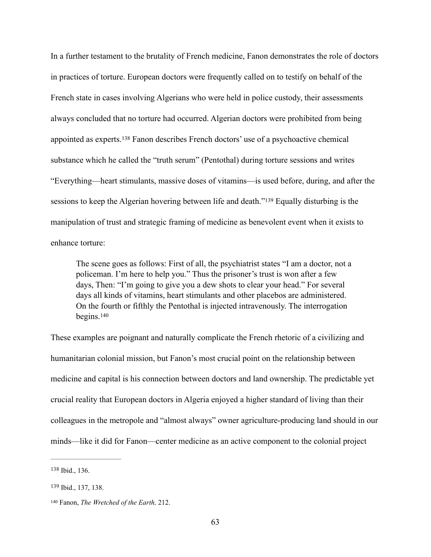<span id="page-66-3"></span>In a further testament to the brutality of French medicine, Fanon demonstrates the role of doctors in practices of torture. European doctors were frequently called on to testify on behalf of the French state in cases involving Algerians who were held in police custody, their assessments always concluded that no torture had occurred. Algerian doctors were prohibited from being appointedas experts.<sup>[138](#page-66-0)</sup> Fanon describes French doctors' use of a psychoactive chemical substance which he called the "truth serum" (Pentothal) during torture sessions and writes "Everything—heart stimulants, massive doses of vitamins—is used before, during, and after the sessionsto keep the Algerian hovering between life and death."<sup>[139](#page-66-1)</sup> Equally disturbing is the manipulation of trust and strategic framing of medicine as benevolent event when it exists to enhance torture:

<span id="page-66-4"></span>The scene goes as follows: First of all, the psychiatrist states "I am a doctor, not a policeman. I'm here to help you." Thus the prisoner's trust is won after a few days, Then: "I'm going to give you a dew shots to clear your head." For several days all kinds of vitamins, heart stimulants and other placebos are administered. On the fourth or fifthly the Pentothal is injected intravenously. The interrogation begins[.](#page-66-2) [140](#page-66-2)

<span id="page-66-5"></span>These examples are poignant and naturally complicate the French rhetoric of a civilizing and humanitarian colonial mission, but Fanon's most crucial point on the relationship between medicine and capital is his connection between doctors and land ownership. The predictable yet crucial reality that European doctors in Algeria enjoyed a higher standard of living than their colleagues in the metropole and "almost always" owner agriculture-producing land should in our minds—like it did for Fanon—center medicine as an active component to the colonial project

<span id="page-66-0"></span>[<sup>138</sup>](#page-66-3) Ibid., 136.

<span id="page-66-1"></span>[<sup>139</sup>](#page-66-4) Ibid., 137, 138.

<span id="page-66-2"></span><sup>&</sup>lt;sup>[140](#page-66-5)</sup> Fanon, *The Wretched of the Earth*, 212.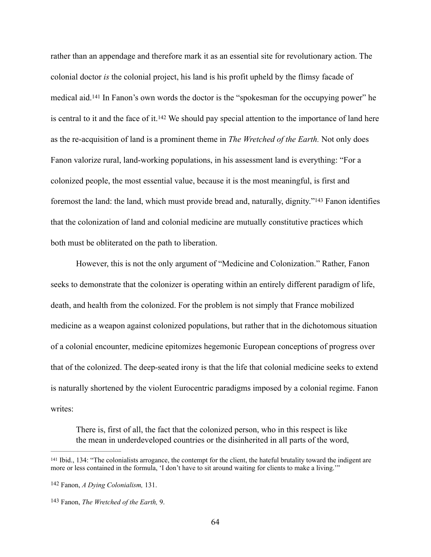<span id="page-67-4"></span><span id="page-67-3"></span>rather than an appendage and therefore mark it as an essential site for revolutionary action. The colonial doctor *is* the colonial project, his land is his profit upheld by the flimsy facade of medicalaid.<sup>[141](#page-67-0)</sup> In Fanon's own words the doctor is the "spokesman for the occupying power" he is central to it and the face of it[.](#page-67-1)<sup>[142](#page-67-1)</sup> We should pay special attention to the importance of land here as the re-acquisition of land is a prominent theme in *The Wretched of the Earth.* Not only does Fanon valorize rural, land-working populations, in his assessment land is everything: "For a colonized people, the most essential value, because it is the most meaningful, is first and foremost the land: the land, which must provide bread and, naturally, dignity.["](#page-67-2)<sup>[143](#page-67-2)</sup> Fanon identifies that the colonization of land and colonial medicine are mutually constitutive practices which both must be obliterated on the path to liberation.

<span id="page-67-5"></span> However, this is not the only argument of "Medicine and Colonization." Rather, Fanon seeks to demonstrate that the colonizer is operating within an entirely different paradigm of life, death, and health from the colonized. For the problem is not simply that France mobilized medicine as a weapon against colonized populations, but rather that in the dichotomous situation of a colonial encounter, medicine epitomizes hegemonic European conceptions of progress over that of the colonized. The deep-seated irony is that the life that colonial medicine seeks to extend is naturally shortened by the violent Eurocentric paradigms imposed by a colonial regime. Fanon writes:

There is, first of all, the fact that the colonized person, who in this respect is like the mean in underdeveloped countries or the disinherited in all parts of the word,

<span id="page-67-0"></span><sup>&</sup>lt;sup>[141](#page-67-3)</sup> Ibid., 134: "The colonialists arrogance, the contempt for the client, the hateful brutality toward the indigent are more or less contained in the formula, 'I don't have to sit around waiting for clients to make a living.'"

<span id="page-67-1"></span>Fanon, *A Dying Colonialism,* 131. [142](#page-67-4)

<span id="page-67-2"></span>[<sup>143</sup>](#page-67-5) Fanon, *The Wretched of the Earth*, 9.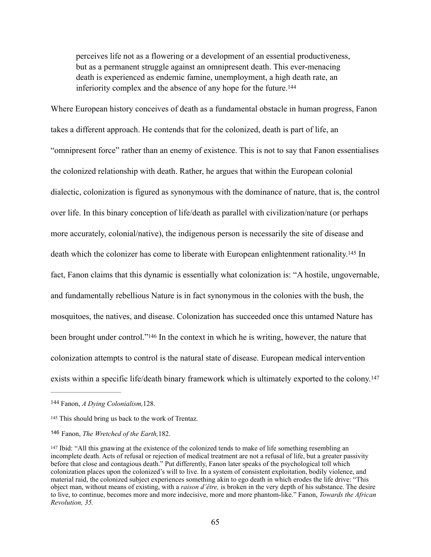<span id="page-68-4"></span>perceives life not as a flowering or a development of an essential productiveness, but as a permanent struggle against an omnipresent death. This ever-menacing death is experienced as endemic famine, unemployment, a high death rate, an inferiority complex and the absence of any hope for the future. [144](#page-68-0)

<span id="page-68-5"></span>Where European history conceives of death as a fundamental obstacle in human progress, Fanon takes a different approach. He contends that for the colonized, death is part of life, an "omnipresent force" rather than an enemy of existence. This is not to say that Fanon essentialises the colonized relationship with death. Rather, he argues that within the European colonial dialectic, colonization is figured as synonymous with the dominance of nature, that is, the control over life. In this binary conception of life/death as parallel with civilization/nature (or perhaps more accurately, colonial/native), the indigenous person is necessarily the site of disease and death which the colonizer has come to liberate with European enlightenment rationality[.](#page-68-1)<sup>[145](#page-68-1)</sup> In fact, Fanon claims that this dynamic is essentially what colonization is: "A hostile, ungovernable, and fundamentally rebellious Nature is in fact synonymous in the colonies with the bush, the mosquitoes, the natives, and disease. Colonization has succeeded once this untamed Nature has beenbrought under control."<sup>[146](#page-68-2)</sup> In the context in which he is writing, however, the nature that colonization attempts to control is the natural state of disease. European medical intervention exists within a specific life/death binary framework which is ultimately exported to the colony.<sup>147</sup>

<span id="page-68-7"></span><span id="page-68-6"></span><span id="page-68-0"></span><sup>&</sup>lt;sup>[144](#page-68-4)</sup> Fanon, *A Dying Colonialism*, 128.

<span id="page-68-1"></span>[<sup>145</sup>](#page-68-5) This should bring us back to the work of Trentaz.

<span id="page-68-2"></span><sup>&</sup>lt;sup>[146](#page-68-6)</sup> Fanon, *The Wretched of the Earth*, 182.

<span id="page-68-3"></span><sup>&</sup>lt;sup>[147](#page-68-7)</sup> Ibid: "All this gnawing at the existence of the colonized tends to make of life something resembling an incomplete death. Acts of refusal or rejection of medical treatment are not a refusal of life, but a greater passivity before that close and contagious death." Put differently, Fanon later speaks of the psychological toll which colonization places upon the colonized's will to live. In a system of consistent exploitation, bodily violence, and material raid, the colonized subject experiences something akin to ego death in which erodes the life drive: "This object man, without means of existing, with a *raison d'être,* is broken in the very depth of his substance. The desire to live, to continue, becomes more and more indecisive, more and more phantom-like." Fanon, *Towards the African Revolution, 35.*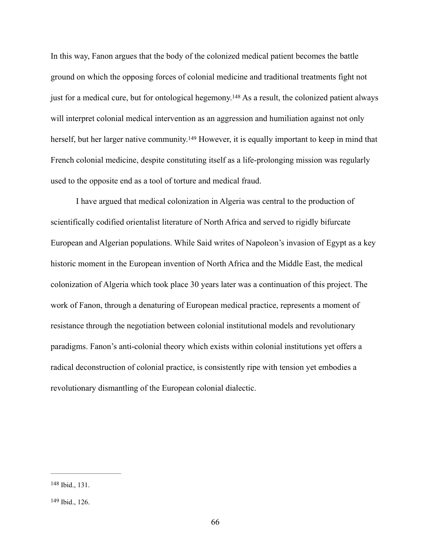<span id="page-69-2"></span>In this way, Fanon argues that the body of the colonized medical patient becomes the battle ground on which the opposing forces of colonial medicine and traditional treatments fight not justfor a medical cure, but for ontological hegemony.<sup>[148](#page-69-0)</sup> As a result, the colonized patient always will interpret colonial medical intervention as an aggression and humiliation against not only herself, but her larger native community[.](#page-69-1)<sup>[149](#page-69-1)</sup> However, it is equally important to keep in mind that French colonial medicine, despite constituting itself as a life-prolonging mission was regularly used to the opposite end as a tool of torture and medical fraud.

<span id="page-69-3"></span> I have argued that medical colonization in Algeria was central to the production of scientifically codified orientalist literature of North Africa and served to rigidly bifurcate European and Algerian populations. While Said writes of Napoleon's invasion of Egypt as a key historic moment in the European invention of North Africa and the Middle East, the medical colonization of Algeria which took place 30 years later was a continuation of this project. The work of Fanon, through a denaturing of European medical practice, represents a moment of resistance through the negotiation between colonial institutional models and revolutionary paradigms. Fanon's anti-colonial theory which exists within colonial institutions yet offers a radical deconstruction of colonial practice, is consistently ripe with tension yet embodies a revolutionary dismantling of the European colonial dialectic.

<span id="page-69-0"></span>[<sup>148</sup>](#page-69-2) Ibid., 131.

<span id="page-69-1"></span>[<sup>149</sup>](#page-69-3) Ibid., 126.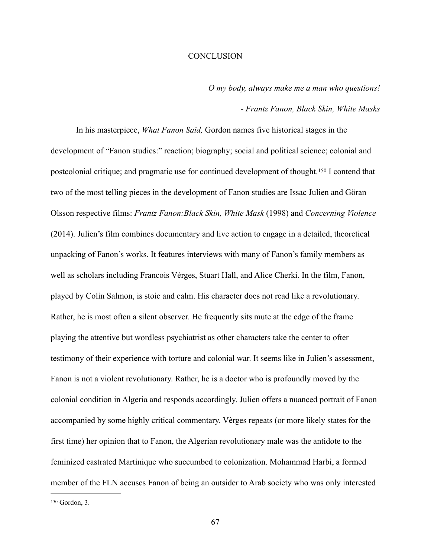### **CONCLUSION**

*O my body, always make me a man who questions!* 

# <span id="page-70-1"></span>*- Frantz Fanon, Black Skin, White Masks*

 In his masterpiece, *What Fanon Said,* Gordon names five historical stages in the development of "Fanon studies:" reaction; biography; social and political science; colonial and postcolonialcritique; and pragmatic use for continued development of thought.<sup>[150](#page-70-0)</sup> I contend that two of the most telling pieces in the development of Fanon studies are Issac Julien and Göran Olsson respective films: *Frantz Fanon:Black Skin, White Mask* (1998) and *Concerning Violence*  (2014). Julien's film combines documentary and live action to engage in a detailed, theoretical unpacking of Fanon's works. It features interviews with many of Fanon's family members as well as scholars including Francois Vèrges, Stuart Hall, and Alice Cherki. In the film, Fanon, played by Colin Salmon, is stoic and calm. His character does not read like a revolutionary. Rather, he is most often a silent observer. He frequently sits mute at the edge of the frame playing the attentive but wordless psychiatrist as other characters take the center to ofter testimony of their experience with torture and colonial war. It seems like in Julien's assessment, Fanon is not a violent revolutionary. Rather, he is a doctor who is profoundly moved by the colonial condition in Algeria and responds accordingly. Julien offers a nuanced portrait of Fanon accompanied by some highly critical commentary. Vèrges repeats (or more likely states for the first time) her opinion that to Fanon, the Algerian revolutionary male was the antidote to the feminized castrated Martinique who succumbed to colonization. Mohammad Harbi, a formed member of the FLN accuses Fanon of being an outsider to Arab society who was only interested

<span id="page-70-0"></span><sup>&</sup>lt;sup>[150](#page-70-1)</sup> Gordon, 3.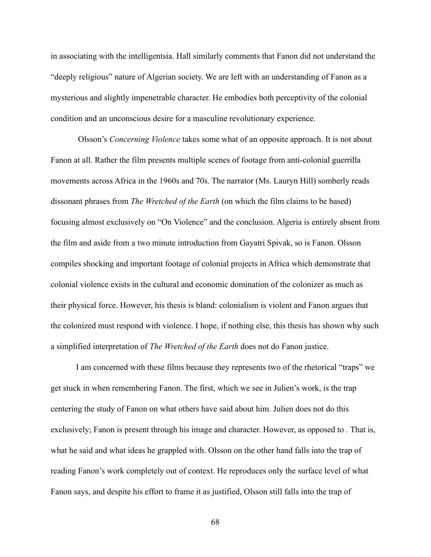in associating with the intelligentsia. Hall similarly comments that Fanon did not understand the "deeply religious" nature of Algerian society. We are left with an understanding of Fanon as a mysterious and slightly impenetrable character. He embodies both perceptivity of the colonial condition and an unconscious desire for a masculine revolutionary experience.

 Olsson's *Concerning Violence* takes some what of an opposite approach. It is not about Fanon at all. Rather the film presents multiple scenes of footage from anti-colonial guerrilla movements across Africa in the 1960s and 70s. The narrator (Ms. Lauryn Hill) somberly reads dissonant phrases from *The Wretched of the Earth* (on which the film claims to be based) focusing almost exclusively on "On Violence" and the conclusion. Algeria is entirely absent from the film and aside from a two minute introduction from Gayatri Spivak, so is Fanon. Olsson compiles shocking and important footage of colonial projects in Africa which demonstrate that colonial violence exists in the cultural and economic domination of the colonizer as much as their physical force. However, his thesis is bland: colonialism is violent and Fanon argues that the colonized must respond with violence. I hope, if nothing else, this thesis has shown why such a simplified interpretation of *The Wretched of the Earth* does not do Fanon justice.

 I am concerned with these films because they represents two of the rhetorical "traps" we get stuck in when remembering Fanon. The first, which we see in Julien's work, is the trap centering the study of Fanon on what others have said about him. Julien does not do this exclusively; Fanon is present through his image and character. However, as opposed to . That is, what he said and what ideas he grappled with. Olsson on the other hand falls into the trap of reading Fanon's work completely out of context. He reproduces only the surface level of what Fanon says, and despite his effort to frame it as justified, Olsson still falls into the trap of

68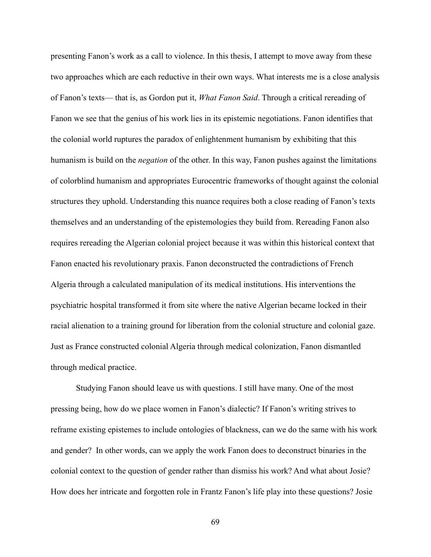presenting Fanon's work as a call to violence. In this thesis, I attempt to move away from these two approaches which are each reductive in their own ways. What interests me is a close analysis of Fanon's texts— that is, as Gordon put it, *What Fanon Said*. Through a critical rereading of Fanon we see that the genius of his work lies in its epistemic negotiations. Fanon identifies that the colonial world ruptures the paradox of enlightenment humanism by exhibiting that this humanism is build on the *negation* of the other. In this way, Fanon pushes against the limitations of colorblind humanism and appropriates Eurocentric frameworks of thought against the colonial structures they uphold. Understanding this nuance requires both a close reading of Fanon's texts themselves and an understanding of the epistemologies they build from. Rereading Fanon also requires rereading the Algerian colonial project because it was within this historical context that Fanon enacted his revolutionary praxis. Fanon deconstructed the contradictions of French Algeria through a calculated manipulation of its medical institutions. His interventions the psychiatric hospital transformed it from site where the native Algerian became locked in their racial alienation to a training ground for liberation from the colonial structure and colonial gaze. Just as France constructed colonial Algeria through medical colonization, Fanon dismantled through medical practice.

 Studying Fanon should leave us with questions. I still have many. One of the most pressing being, how do we place women in Fanon's dialectic? If Fanon's writing strives to reframe existing epistemes to include ontologies of blackness, can we do the same with his work and gender? In other words, can we apply the work Fanon does to deconstruct binaries in the colonial context to the question of gender rather than dismiss his work? And what about Josie? How does her intricate and forgotten role in Frantz Fanon's life play into these questions? Josie

69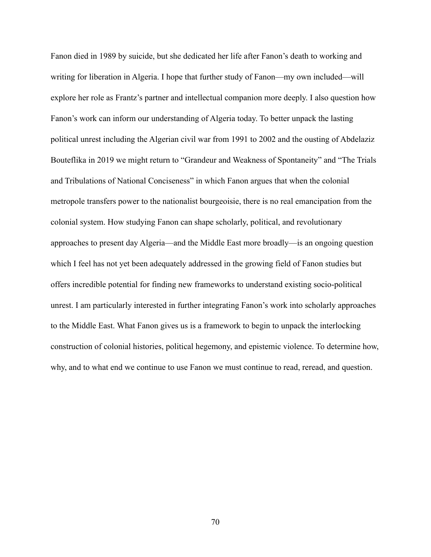Fanon died in 1989 by suicide, but she dedicated her life after Fanon's death to working and writing for liberation in Algeria. I hope that further study of Fanon—my own included—will explore her role as Frantz's partner and intellectual companion more deeply. I also question how Fanon's work can inform our understanding of Algeria today. To better unpack the lasting political unrest including the Algerian civil war from 1991 to 2002 and the ousting of Abdelaziz Bouteflika in 2019 we might return to "Grandeur and Weakness of Spontaneity" and "The Trials and Tribulations of National Conciseness" in which Fanon argues that when the colonial metropole transfers power to the nationalist bourgeoisie, there is no real emancipation from the colonial system. How studying Fanon can shape scholarly, political, and revolutionary approaches to present day Algeria—and the Middle East more broadly—is an ongoing question which I feel has not yet been adequately addressed in the growing field of Fanon studies but offers incredible potential for finding new frameworks to understand existing socio-political unrest. I am particularly interested in further integrating Fanon's work into scholarly approaches to the Middle East. What Fanon gives us is a framework to begin to unpack the interlocking construction of colonial histories, political hegemony, and epistemic violence. To determine how, why, and to what end we continue to use Fanon we must continue to read, reread, and question.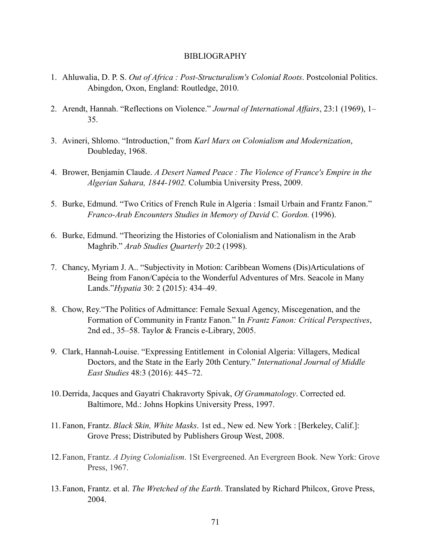## BIBLIOGRAPHY

- 1. Ahluwalia, D. P. S. *Out of Africa : Post-Structuralism's Colonial Roots*. Postcolonial Politics. Abingdon, Oxon, England: Routledge, 2010.
- 2. Arendt, Hannah. "Reflections on Violence." *Journal of International Affairs*, 23:1 (1969), 1– 35.
- 3. Avineri, Shlomo. "Introduction," from *Karl Marx on Colonialism and Modernization*, Doubleday, 1968.
- 4. Brower, Benjamin Claude. *A Desert Named Peace : The Violence of France's Empire in the Algerian Sahara, 1844-1902.* Columbia University Press, 2009.
- 5. Burke, Edmund. "Two Critics of French Rule in Algeria : Ismail Urbain and Frantz Fanon." *Franco-Arab Encounters Studies in Memory of David C. Gordon.* (1996).
- 6. Burke, Edmund. "Theorizing the Histories of Colonialism and Nationalism in the Arab Maghrib." *Arab Studies Quarterly* 20:2 (1998).
- 7. Chancy, Myriam J. A.. "Subjectivity in Motion: Caribbean Womens (Dis)Articulations of Being from Fanon/Capécia to the Wonderful Adventures of Mrs. Seacole in Many Lands."*Hypatia* 30: 2 (2015): 434–49.
- 8. Chow, Rey."The Politics of Admittance: Female Sexual Agency, Miscegenation, and the Formation of Community in Frantz Fanon." In *Frantz Fanon: Critical Perspectives*, 2nd ed., 35–58. Taylor & Francis e-Library, 2005.
- 9. Clark, Hannah-Louise. "Expressing Entitlement in Colonial Algeria: Villagers, Medical Doctors, and the State in the Early 20th Century." *International Journal of Middle East Studies* 48:3 (2016): 445–72.
- 10.Derrida, Jacques and Gayatri Chakravorty Spivak, *Of Grammatology*. Corrected ed. Baltimore, Md.: Johns Hopkins University Press, 1997.
- 11. Fanon, Frantz. *Black Skin, White Masks*. 1st ed., New ed. New York : [Berkeley, Calif.]: Grove Press; Distributed by Publishers Group West, 2008.
- 12.Fanon, Frantz. *A Dying Colonialism*. 1St Evergreened. An Evergreen Book. New York: Grove Press, 1967.
- 13.Fanon, Frantz. et al. *The Wretched of the Earth*. Translated by Richard Philcox, Grove Press, 2004.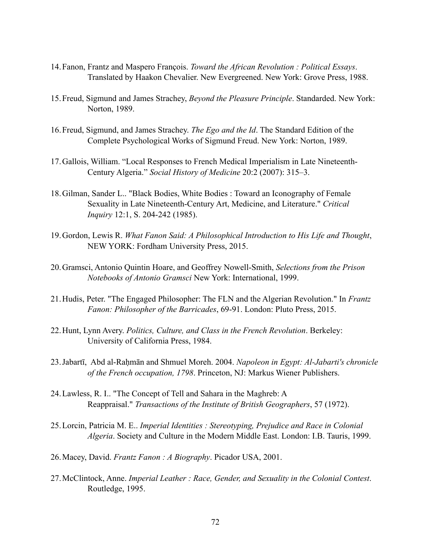- 14.Fanon, Frantz and Maspero François. *Toward the African Revolution : Political Essays*. Translated by Haakon Chevalier. New Evergreened. New York: Grove Press, 1988.
- 15.Freud, Sigmund and James Strachey, *Beyond the Pleasure Principle*. Standarded. New York: Norton, 1989.
- 16.Freud, Sigmund, and James Strachey. *The Ego and the Id*. The Standard Edition of the Complete Psychological Works of Sigmund Freud. New York: Norton, 1989.
- 17.Gallois, William. "Local Responses to French Medical Imperialism in Late Nineteenth-Century Algeria." *Social History of Medicine* 20:2 (2007): 315–3.
- 18.Gilman, Sander L.. "Black Bodies, White Bodies : Toward an Iconography of Female Sexuality in Late Nineteenth-Century Art, Medicine, and Literature." *Critical Inquiry* 12:1, S. 204-242 (1985).
- 19.Gordon, Lewis R. *What Fanon Said: A Philosophical Introduction to His Life and Thought*, NEW YORK: Fordham University Press, 2015.
- 20.Gramsci, Antonio Quintin Hoare, and Geoffrey Nowell-Smith, *Selections from the Prison Notebooks of Antonio Gramsci* New York: International, 1999.
- 21.Hudis, Peter. "The Engaged Philosopher: The FLN and the Algerian Revolution." In *Frantz Fanon: Philosopher of the Barricades*, 69-91. London: Pluto Press, 2015.
- 22.Hunt, Lynn Avery. *Politics, Culture, and Class in the French Revolution*. Berkeley: University of California Press, 1984.
- 23.Jabartī, Abd al-Raḥmān and Shmuel Moreh. 2004. *Napoleon in Egypt: Al-Jabarti's chronicle of the French occupation, 1798*. Princeton, NJ: Markus Wiener Publishers.
- 24.Lawless, R. I.. "The Concept of Tell and Sahara in the Maghreb: A Reappraisal." *Transactions of the Institute of British Geographers*, 57 (1972).
- 25.Lorcin, Patricia M. E.. *Imperial Identities : Stereotyping, Prejudice and Race in Colonial Algeria*. Society and Culture in the Modern Middle East. London: I.B. Tauris, 1999.
- 26.Macey, David. *Frantz Fanon : A Biography*. Picador USA, 2001.
- 27.McClintock, Anne. *Imperial Leather : Race, Gender, and Sexuality in the Colonial Contest*. Routledge, 1995.